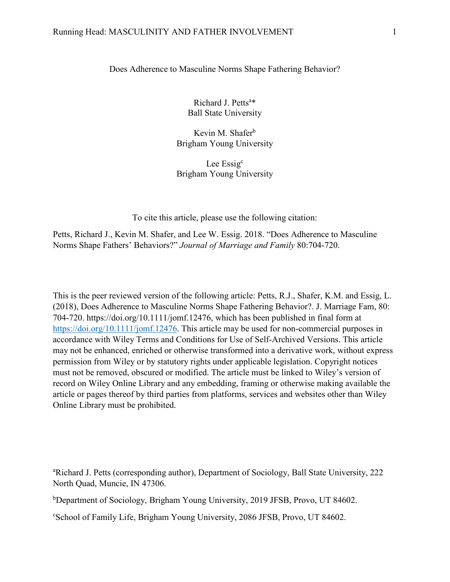### Does Adherence to Masculine Norms Shape Fathering Behavior?

Richard J. Petts<sup>a\*</sup> Ball State University

Kevin M. Shafer<sup>b</sup> Brigham Young University

Lee Essig<sup>c</sup> Brigham Young University

To cite this article, please use the following citation:

Petts, Richard J., Kevin M. Shafer, and Lee W. Essig. 2018. "Does Adherence to Masculine Norms Shape Fathers' Behaviors?" *Journal of Marriage and Family* 80:704-720.

This is the peer reviewed version of the following article: Petts, R.J., Shafer, K.M. and Essig, L. (2018), Does Adherence to Masculine Norms Shape Fathering Behavior?. J. Marriage Fam, 80: 704-720. https://doi.org/10.1111/jomf.12476, which has been published in final form at [https://doi.org/10.1111/jomf.12476.](https://doi.org/10.1111/jomf.12476) This article may be used for non-commercial purposes in accordance with Wiley Terms and Conditions for Use of Self-Archived Versions. This article may not be enhanced, enriched or otherwise transformed into a derivative work, without express permission from Wiley or by statutory rights under applicable legislation. Copyright notices must not be removed, obscured or modified. The article must be linked to Wiley's version of record on Wiley Online Library and any embedding, framing or otherwise making available the article or pages thereof by third parties from platforms, services and websites other than Wiley Online Library must be prohibited.

a Richard J. Petts (corresponding author), Department of Sociology, Ball State University, 222 North Quad, Muncie, IN 47306.

b Department of Sociology, Brigham Young University, 2019 JFSB, Provo, UT 84602.

c School of Family Life, Brigham Young University, 2086 JFSB, Provo, UT 84602.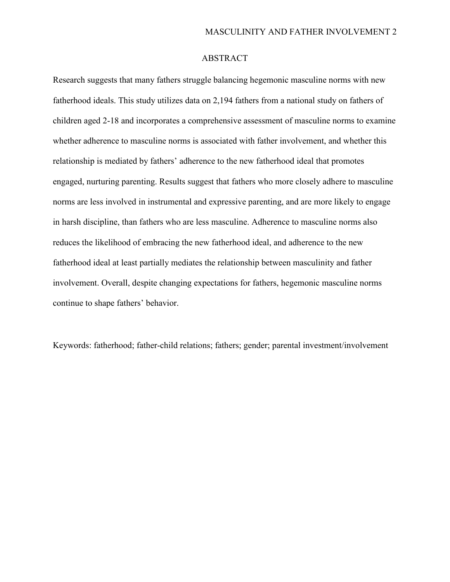# ABSTRACT

Research suggests that many fathers struggle balancing hegemonic masculine norms with new fatherhood ideals. This study utilizes data on 2,194 fathers from a national study on fathers of children aged 2-18 and incorporates a comprehensive assessment of masculine norms to examine whether adherence to masculine norms is associated with father involvement, and whether this relationship is mediated by fathers' adherence to the new fatherhood ideal that promotes engaged, nurturing parenting. Results suggest that fathers who more closely adhere to masculine norms are less involved in instrumental and expressive parenting, and are more likely to engage in harsh discipline, than fathers who are less masculine. Adherence to masculine norms also reduces the likelihood of embracing the new fatherhood ideal, and adherence to the new fatherhood ideal at least partially mediates the relationship between masculinity and father involvement. Overall, despite changing expectations for fathers, hegemonic masculine norms continue to shape fathers' behavior.

Keywords: fatherhood; father-child relations; fathers; gender; parental investment/involvement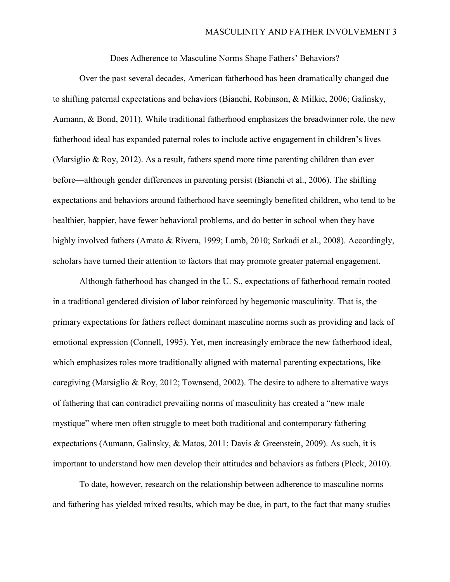Does Adherence to Masculine Norms Shape Fathers' Behaviors?

Over the past several decades, American fatherhood has been dramatically changed due to shifting paternal expectations and behaviors (Bianchi, Robinson, & Milkie, 2006; Galinsky, Aumann, & Bond, 2011). While traditional fatherhood emphasizes the breadwinner role, the new fatherhood ideal has expanded paternal roles to include active engagement in children's lives (Marsiglio & Roy, 2012). As a result, fathers spend more time parenting children than ever before—although gender differences in parenting persist (Bianchi et al., 2006). The shifting expectations and behaviors around fatherhood have seemingly benefited children, who tend to be healthier, happier, have fewer behavioral problems, and do better in school when they have highly involved fathers (Amato & Rivera, 1999; Lamb, 2010; Sarkadi et al., 2008). Accordingly, scholars have turned their attention to factors that may promote greater paternal engagement.

Although fatherhood has changed in the U. S., expectations of fatherhood remain rooted in a traditional gendered division of labor reinforced by hegemonic masculinity. That is, the primary expectations for fathers reflect dominant masculine norms such as providing and lack of emotional expression (Connell, 1995). Yet, men increasingly embrace the new fatherhood ideal, which emphasizes roles more traditionally aligned with maternal parenting expectations, like caregiving (Marsiglio & Roy, 2012; Townsend, 2002). The desire to adhere to alternative ways of fathering that can contradict prevailing norms of masculinity has created a "new male mystique" where men often struggle to meet both traditional and contemporary fathering expectations (Aumann, Galinsky, & Matos, 2011; Davis & Greenstein, 2009). As such, it is important to understand how men develop their attitudes and behaviors as fathers (Pleck, 2010).

To date, however, research on the relationship between adherence to masculine norms and fathering has yielded mixed results, which may be due, in part, to the fact that many studies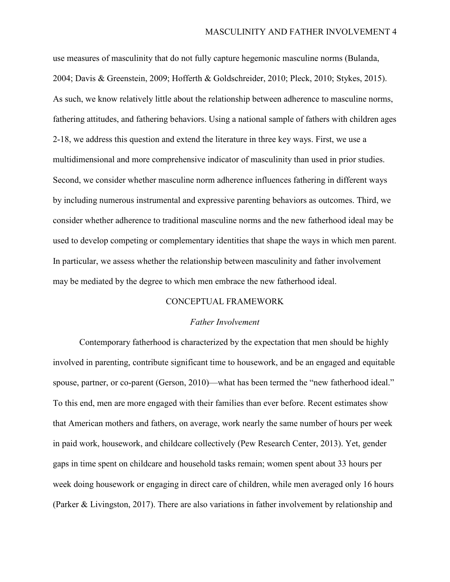use measures of masculinity that do not fully capture hegemonic masculine norms (Bulanda, 2004; Davis & Greenstein, 2009; Hofferth & Goldschreider, 2010; Pleck, 2010; Stykes, 2015). As such, we know relatively little about the relationship between adherence to masculine norms, fathering attitudes, and fathering behaviors. Using a national sample of fathers with children ages 2-18, we address this question and extend the literature in three key ways. First, we use a multidimensional and more comprehensive indicator of masculinity than used in prior studies. Second, we consider whether masculine norm adherence influences fathering in different ways by including numerous instrumental and expressive parenting behaviors as outcomes. Third, we consider whether adherence to traditional masculine norms and the new fatherhood ideal may be used to develop competing or complementary identities that shape the ways in which men parent. In particular, we assess whether the relationship between masculinity and father involvement may be mediated by the degree to which men embrace the new fatherhood ideal.

### CONCEPTUAL FRAMEWORK

### *Father Involvement*

Contemporary fatherhood is characterized by the expectation that men should be highly involved in parenting, contribute significant time to housework, and be an engaged and equitable spouse, partner, or co-parent (Gerson, 2010)—what has been termed the "new fatherhood ideal." To this end, men are more engaged with their families than ever before. Recent estimates show that American mothers and fathers, on average, work nearly the same number of hours per week in paid work, housework, and childcare collectively (Pew Research Center, 2013). Yet, gender gaps in time spent on childcare and household tasks remain; women spent about 33 hours per week doing housework or engaging in direct care of children, while men averaged only 16 hours (Parker & Livingston, 2017). There are also variations in father involvement by relationship and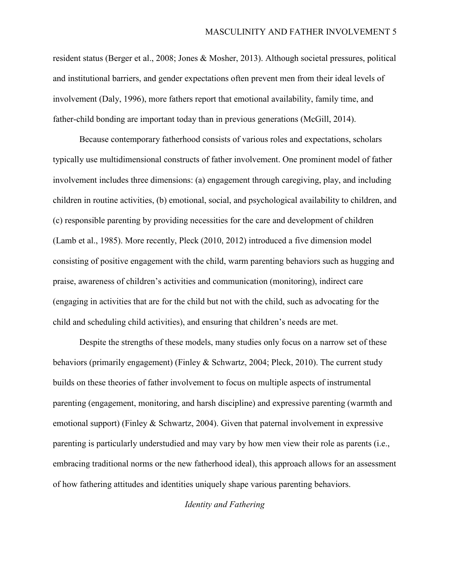resident status (Berger et al., 2008; Jones & Mosher, 2013). Although societal pressures, political and institutional barriers, and gender expectations often prevent men from their ideal levels of involvement (Daly, 1996), more fathers report that emotional availability, family time, and father-child bonding are important today than in previous generations (McGill, 2014).

Because contemporary fatherhood consists of various roles and expectations, scholars typically use multidimensional constructs of father involvement. One prominent model of father involvement includes three dimensions: (a) engagement through caregiving, play, and including children in routine activities, (b) emotional, social, and psychological availability to children, and (c) responsible parenting by providing necessities for the care and development of children (Lamb et al., 1985). More recently, Pleck (2010, 2012) introduced a five dimension model consisting of positive engagement with the child, warm parenting behaviors such as hugging and praise, awareness of children's activities and communication (monitoring), indirect care (engaging in activities that are for the child but not with the child, such as advocating for the child and scheduling child activities), and ensuring that children's needs are met.

Despite the strengths of these models, many studies only focus on a narrow set of these behaviors (primarily engagement) (Finley & Schwartz, 2004; Pleck, 2010). The current study builds on these theories of father involvement to focus on multiple aspects of instrumental parenting (engagement, monitoring, and harsh discipline) and expressive parenting (warmth and emotional support) (Finley & Schwartz, 2004). Given that paternal involvement in expressive parenting is particularly understudied and may vary by how men view their role as parents (i.e., embracing traditional norms or the new fatherhood ideal), this approach allows for an assessment of how fathering attitudes and identities uniquely shape various parenting behaviors.

*Identity and Fathering*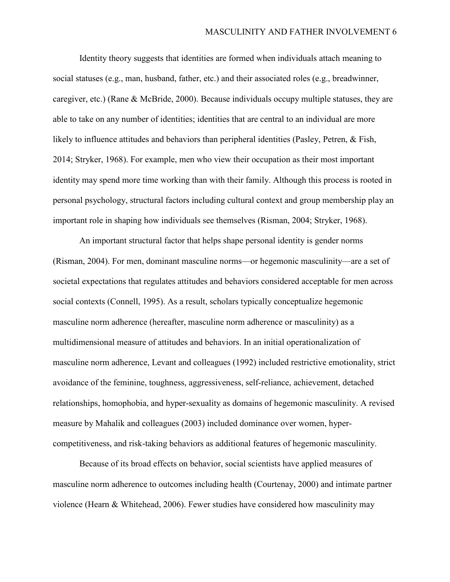Identity theory suggests that identities are formed when individuals attach meaning to social statuses (e.g., man, husband, father, etc.) and their associated roles (e.g., breadwinner, caregiver, etc.) (Rane & McBride, 2000). Because individuals occupy multiple statuses, they are able to take on any number of identities; identities that are central to an individual are more likely to influence attitudes and behaviors than peripheral identities (Pasley, Petren, & Fish, 2014; Stryker, 1968). For example, men who view their occupation as their most important identity may spend more time working than with their family. Although this process is rooted in personal psychology, structural factors including cultural context and group membership play an important role in shaping how individuals see themselves (Risman, 2004; Stryker, 1968).

An important structural factor that helps shape personal identity is gender norms (Risman, 2004). For men, dominant masculine norms—or hegemonic masculinity—are a set of societal expectations that regulates attitudes and behaviors considered acceptable for men across social contexts (Connell, 1995). As a result, scholars typically conceptualize hegemonic masculine norm adherence (hereafter, masculine norm adherence or masculinity) as a multidimensional measure of attitudes and behaviors. In an initial operationalization of masculine norm adherence, Levant and colleagues (1992) included restrictive emotionality, strict avoidance of the feminine, toughness, aggressiveness, self-reliance, achievement, detached relationships, homophobia, and hyper-sexuality as domains of hegemonic masculinity. A revised measure by Mahalik and colleagues (2003) included dominance over women, hypercompetitiveness, and risk-taking behaviors as additional features of hegemonic masculinity.

Because of its broad effects on behavior, social scientists have applied measures of masculine norm adherence to outcomes including health (Courtenay, 2000) and intimate partner violence (Hearn & Whitehead, 2006). Fewer studies have considered how masculinity may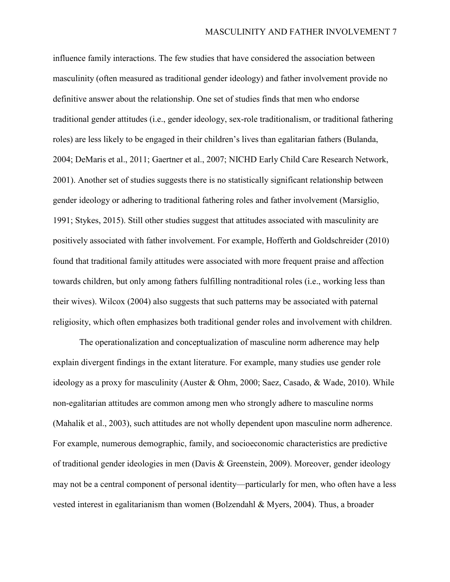influence family interactions. The few studies that have considered the association between masculinity (often measured as traditional gender ideology) and father involvement provide no definitive answer about the relationship. One set of studies finds that men who endorse traditional gender attitudes (i.e., gender ideology, sex-role traditionalism, or traditional fathering roles) are less likely to be engaged in their children's lives than egalitarian fathers (Bulanda, 2004; DeMaris et al., 2011; Gaertner et al., 2007; NICHD Early Child Care Research Network, 2001). Another set of studies suggests there is no statistically significant relationship between gender ideology or adhering to traditional fathering roles and father involvement (Marsiglio, 1991; Stykes, 2015). Still other studies suggest that attitudes associated with masculinity are positively associated with father involvement. For example, Hofferth and Goldschreider (2010) found that traditional family attitudes were associated with more frequent praise and affection towards children, but only among fathers fulfilling nontraditional roles (i.e., working less than their wives). Wilcox (2004) also suggests that such patterns may be associated with paternal religiosity, which often emphasizes both traditional gender roles and involvement with children.

The operationalization and conceptualization of masculine norm adherence may help explain divergent findings in the extant literature. For example, many studies use gender role ideology as a proxy for masculinity (Auster & Ohm, 2000; Saez, Casado, & Wade, 2010). While non-egalitarian attitudes are common among men who strongly adhere to masculine norms (Mahalik et al., 2003), such attitudes are not wholly dependent upon masculine norm adherence. For example, numerous demographic, family, and socioeconomic characteristics are predictive of traditional gender ideologies in men (Davis & Greenstein, 2009). Moreover, gender ideology may not be a central component of personal identity—particularly for men, who often have a less vested interest in egalitarianism than women (Bolzendahl & Myers, 2004). Thus, a broader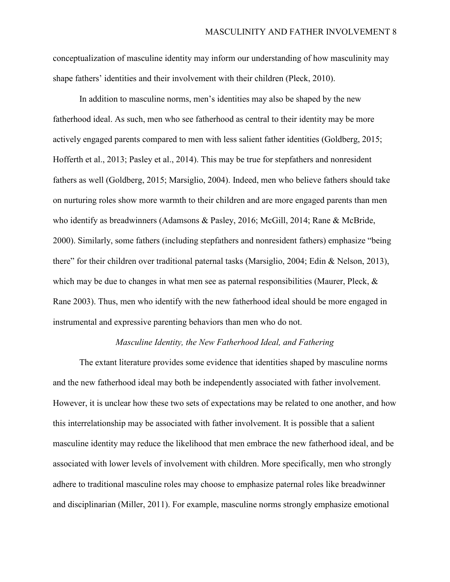conceptualization of masculine identity may inform our understanding of how masculinity may shape fathers' identities and their involvement with their children (Pleck, 2010).

In addition to masculine norms, men's identities may also be shaped by the new fatherhood ideal. As such, men who see fatherhood as central to their identity may be more actively engaged parents compared to men with less salient father identities (Goldberg, 2015; Hofferth et al., 2013; Pasley et al., 2014). This may be true for stepfathers and nonresident fathers as well (Goldberg, 2015; Marsiglio, 2004). Indeed, men who believe fathers should take on nurturing roles show more warmth to their children and are more engaged parents than men who identify as breadwinners (Adamsons & Pasley, 2016; McGill, 2014; Rane & McBride, 2000). Similarly, some fathers (including stepfathers and nonresident fathers) emphasize "being there" for their children over traditional paternal tasks (Marsiglio, 2004; Edin & Nelson, 2013), which may be due to changes in what men see as paternal responsibilities (Maurer, Pleck,  $\&$ Rane 2003). Thus, men who identify with the new fatherhood ideal should be more engaged in instrumental and expressive parenting behaviors than men who do not.

### *Masculine Identity, the New Fatherhood Ideal, and Fathering*

The extant literature provides some evidence that identities shaped by masculine norms and the new fatherhood ideal may both be independently associated with father involvement. However, it is unclear how these two sets of expectations may be related to one another, and how this interrelationship may be associated with father involvement. It is possible that a salient masculine identity may reduce the likelihood that men embrace the new fatherhood ideal, and be associated with lower levels of involvement with children. More specifically, men who strongly adhere to traditional masculine roles may choose to emphasize paternal roles like breadwinner and disciplinarian (Miller, 2011). For example, masculine norms strongly emphasize emotional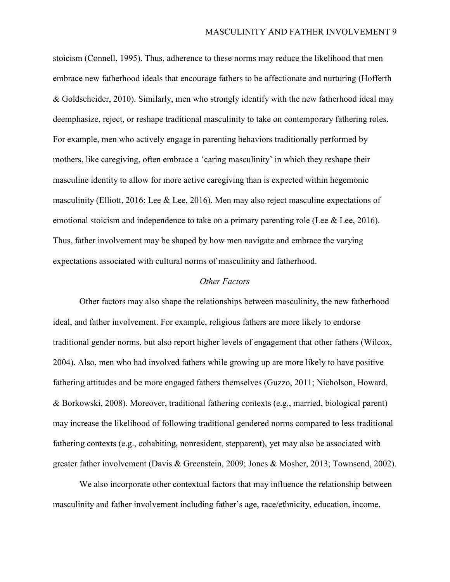stoicism (Connell, 1995). Thus, adherence to these norms may reduce the likelihood that men embrace new fatherhood ideals that encourage fathers to be affectionate and nurturing (Hofferth & Goldscheider, 2010). Similarly, men who strongly identify with the new fatherhood ideal may deemphasize, reject, or reshape traditional masculinity to take on contemporary fathering roles. For example, men who actively engage in parenting behaviors traditionally performed by mothers, like caregiving, often embrace a 'caring masculinity' in which they reshape their masculine identity to allow for more active caregiving than is expected within hegemonic masculinity (Elliott, 2016; Lee & Lee, 2016). Men may also reject masculine expectations of emotional stoicism and independence to take on a primary parenting role (Lee & Lee, 2016). Thus, father involvement may be shaped by how men navigate and embrace the varying expectations associated with cultural norms of masculinity and fatherhood.

### *Other Factors*

Other factors may also shape the relationships between masculinity, the new fatherhood ideal, and father involvement. For example, religious fathers are more likely to endorse traditional gender norms, but also report higher levels of engagement that other fathers (Wilcox, 2004). Also, men who had involved fathers while growing up are more likely to have positive fathering attitudes and be more engaged fathers themselves (Guzzo, 2011; Nicholson, Howard, & Borkowski, 2008). Moreover, traditional fathering contexts (e.g., married, biological parent) may increase the likelihood of following traditional gendered norms compared to less traditional fathering contexts (e.g., cohabiting, nonresident, stepparent), yet may also be associated with greater father involvement (Davis & Greenstein, 2009; Jones & Mosher, 2013; Townsend, 2002).

We also incorporate other contextual factors that may influence the relationship between masculinity and father involvement including father's age, race/ethnicity, education, income,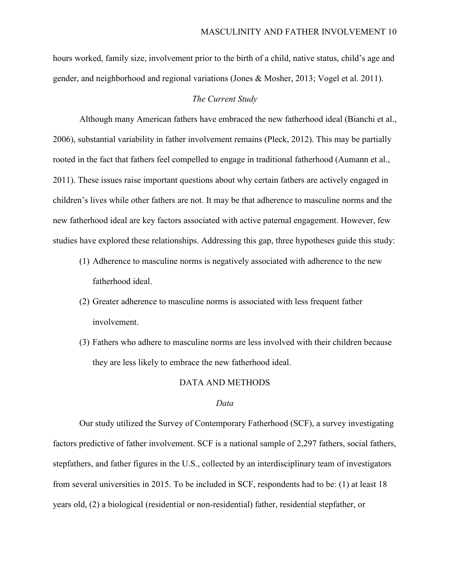hours worked, family size, involvement prior to the birth of a child, native status, child's age and gender, and neighborhood and regional variations (Jones & Mosher, 2013; Vogel et al. 2011).

### *The Current Study*

Although many American fathers have embraced the new fatherhood ideal (Bianchi et al., 2006), substantial variability in father involvement remains (Pleck, 2012). This may be partially rooted in the fact that fathers feel compelled to engage in traditional fatherhood (Aumann et al., 2011). These issues raise important questions about why certain fathers are actively engaged in children's lives while other fathers are not. It may be that adherence to masculine norms and the new fatherhood ideal are key factors associated with active paternal engagement. However, few studies have explored these relationships. Addressing this gap, three hypotheses guide this study:

- (1) Adherence to masculine norms is negatively associated with adherence to the new fatherhood ideal.
- (2) Greater adherence to masculine norms is associated with less frequent father involvement.
- (3) Fathers who adhere to masculine norms are less involved with their children because they are less likely to embrace the new fatherhood ideal.

### DATA AND METHODS

#### *Data*

Our study utilized the Survey of Contemporary Fatherhood (SCF), a survey investigating factors predictive of father involvement. SCF is a national sample of 2,297 fathers, social fathers, stepfathers, and father figures in the U.S., collected by an interdisciplinary team of investigators from several universities in 2015. To be included in SCF, respondents had to be: (1) at least 18 years old, (2) a biological (residential or non-residential) father, residential stepfather, or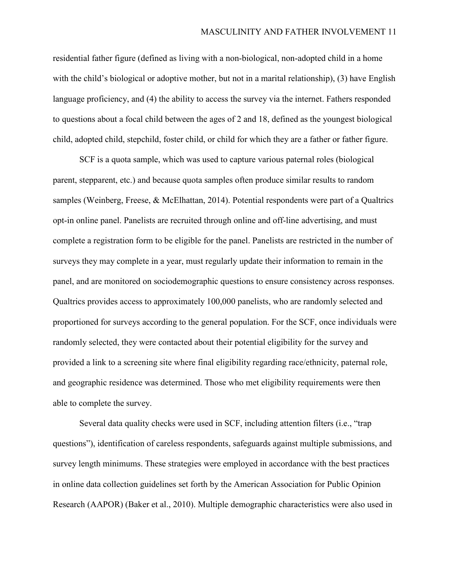residential father figure (defined as living with a non-biological, non-adopted child in a home with the child's biological or adoptive mother, but not in a marital relationship), (3) have English language proficiency, and (4) the ability to access the survey via the internet. Fathers responded to questions about a focal child between the ages of 2 and 18, defined as the youngest biological child, adopted child, stepchild, foster child, or child for which they are a father or father figure.

SCF is a quota sample, which was used to capture various paternal roles (biological parent, stepparent, etc.) and because quota samples often produce similar results to random samples (Weinberg, Freese, & McElhattan, 2014). Potential respondents were part of a Qualtrics opt-in online panel. Panelists are recruited through online and off-line advertising, and must complete a registration form to be eligible for the panel. Panelists are restricted in the number of surveys they may complete in a year, must regularly update their information to remain in the panel, and are monitored on sociodemographic questions to ensure consistency across responses. Qualtrics provides access to approximately 100,000 panelists, who are randomly selected and proportioned for surveys according to the general population. For the SCF, once individuals were randomly selected, they were contacted about their potential eligibility for the survey and provided a link to a screening site where final eligibility regarding race/ethnicity, paternal role, and geographic residence was determined. Those who met eligibility requirements were then able to complete the survey.

Several data quality checks were used in SCF, including attention filters (i.e., "trap questions"), identification of careless respondents, safeguards against multiple submissions, and survey length minimums. These strategies were employed in accordance with the best practices in online data collection guidelines set forth by the American Association for Public Opinion Research (AAPOR) (Baker et al., 2010). Multiple demographic characteristics were also used in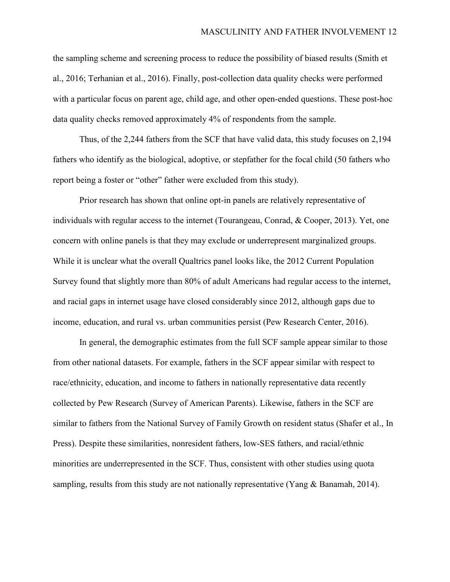the sampling scheme and screening process to reduce the possibility of biased results (Smith et al., 2016; Terhanian et al., 2016). Finally, post-collection data quality checks were performed with a particular focus on parent age, child age, and other open-ended questions. These post-hoc data quality checks removed approximately 4% of respondents from the sample.

Thus, of the 2,244 fathers from the SCF that have valid data, this study focuses on 2,194 fathers who identify as the biological, adoptive, or stepfather for the focal child (50 fathers who report being a foster or "other" father were excluded from this study).

Prior research has shown that online opt-in panels are relatively representative of individuals with regular access to the internet (Tourangeau, Conrad, & Cooper, 2013). Yet, one concern with online panels is that they may exclude or underrepresent marginalized groups. While it is unclear what the overall Qualtrics panel looks like, the 2012 Current Population Survey found that slightly more than 80% of adult Americans had regular access to the internet, and racial gaps in internet usage have closed considerably since 2012, although gaps due to income, education, and rural vs. urban communities persist (Pew Research Center, 2016).

In general, the demographic estimates from the full SCF sample appear similar to those from other national datasets. For example, fathers in the SCF appear similar with respect to race/ethnicity, education, and income to fathers in nationally representative data recently collected by Pew Research (Survey of American Parents). Likewise, fathers in the SCF are similar to fathers from the National Survey of Family Growth on resident status (Shafer et al., In Press). Despite these similarities, nonresident fathers, low-SES fathers, and racial/ethnic minorities are underrepresented in the SCF. Thus, consistent with other studies using quota sampling, results from this study are not nationally representative (Yang & Banamah, 2014).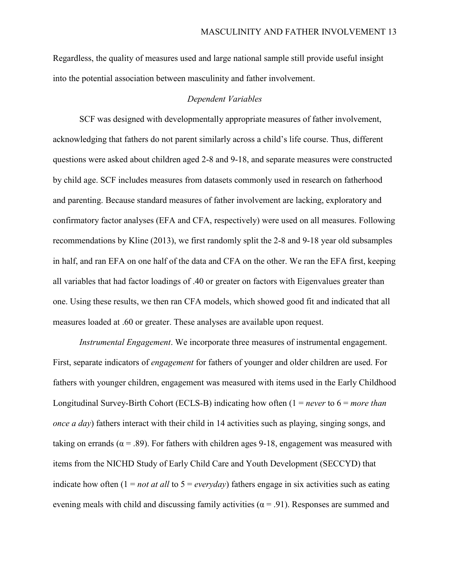Regardless, the quality of measures used and large national sample still provide useful insight into the potential association between masculinity and father involvement.

### *Dependent Variables*

SCF was designed with developmentally appropriate measures of father involvement, acknowledging that fathers do not parent similarly across a child's life course. Thus, different questions were asked about children aged 2-8 and 9-18, and separate measures were constructed by child age. SCF includes measures from datasets commonly used in research on fatherhood and parenting. Because standard measures of father involvement are lacking, exploratory and confirmatory factor analyses (EFA and CFA, respectively) were used on all measures. Following recommendations by Kline (2013), we first randomly split the 2-8 and 9-18 year old subsamples in half, and ran EFA on one half of the data and CFA on the other. We ran the EFA first, keeping all variables that had factor loadings of .40 or greater on factors with Eigenvalues greater than one. Using these results, we then ran CFA models, which showed good fit and indicated that all measures loaded at .60 or greater. These analyses are available upon request.

*Instrumental Engagement*. We incorporate three measures of instrumental engagement. First, separate indicators of *engagement* for fathers of younger and older children are used. For fathers with younger children, engagement was measured with items used in the Early Childhood Longitudinal Survey-Birth Cohort (ECLS-B) indicating how often (1 = *never* to 6 = *more than once a day*) fathers interact with their child in 14 activities such as playing, singing songs, and taking on errands ( $\alpha$  = .89). For fathers with children ages 9-18, engagement was measured with items from the NICHD Study of Early Child Care and Youth Development (SECCYD) that indicate how often (1 = *not at all* to 5 = *everyday*) fathers engage in six activities such as eating evening meals with child and discussing family activities ( $\alpha$  = .91). Responses are summed and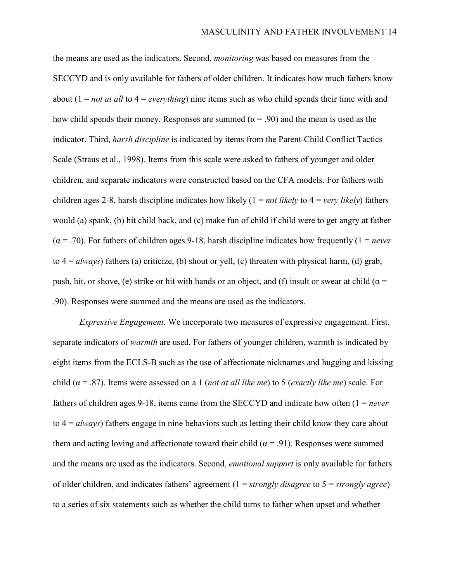the means are used as the indicators. Second, *monitoring* was based on measures from the SECCYD and is only available for fathers of older children. It indicates how much fathers know about (1 = *not at all* to 4 = *everything*) nine items such as who child spends their time with and how child spends their money. Responses are summed ( $\alpha$  = .90) and the mean is used as the indicator. Third, *harsh discipline* is indicated by items from the Parent-Child Conflict Tactics Scale (Straus et al., 1998). Items from this scale were asked to fathers of younger and older children, and separate indicators were constructed based on the CFA models. For fathers with children ages 2-8, harsh discipline indicates how likely (1 = *not likely* to 4 = *very likely*) fathers would (a) spank, (b) hit child back, and (c) make fun of child if child were to get angry at father  $(\alpha = .70)$ . For fathers of children ages 9-18, harsh discipline indicates how frequently (1 = *never* to  $4 = always$ ) fathers (a) criticize, (b) shout or yell, (c) threaten with physical harm, (d) grab, push, hit, or shove, (e) strike or hit with hands or an object, and (f) insult or swear at child ( $\alpha$  = .90). Responses were summed and the means are used as the indicators.

*Expressive Engagement.* We incorporate two measures of expressive engagement. First, separate indicators of *warmth* are used. For fathers of younger children, warmth is indicated by eight items from the ECLS-B such as the use of affectionate nicknames and hugging and kissing child (α = .87). Items were assessed on a 1 (*not at all like me*) to 5 (*exactly like me*) scale. For fathers of children ages 9-18, items came from the SECCYD and indicate how often (1 = *never*  to 4 = *always*) fathers engage in nine behaviors such as letting their child know they care about them and acting loving and affectionate toward their child ( $\alpha$  = .91). Responses were summed and the means are used as the indicators. Second, *emotional support* is only available for fathers of older children, and indicates fathers' agreement (1 = *strongly disagree* to 5 = *strongly agree*) to a series of six statements such as whether the child turns to father when upset and whether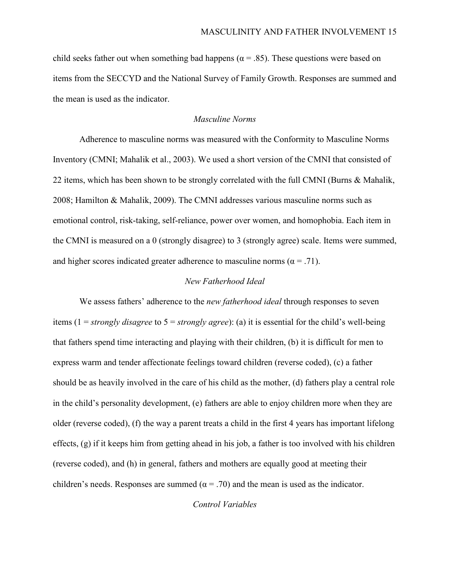child seeks father out when something bad happens ( $\alpha$  = .85). These questions were based on items from the SECCYD and the National Survey of Family Growth. Responses are summed and the mean is used as the indicator.

## *Masculine Norms*

Adherence to masculine norms was measured with the Conformity to Masculine Norms Inventory (CMNI; Mahalik et al., 2003). We used a short version of the CMNI that consisted of 22 items, which has been shown to be strongly correlated with the full CMNI (Burns & Mahalik, 2008; Hamilton & Mahalik, 2009). The CMNI addresses various masculine norms such as emotional control, risk-taking, self-reliance, power over women, and homophobia. Each item in the CMNI is measured on a 0 (strongly disagree) to 3 (strongly agree) scale. Items were summed, and higher scores indicated greater adherence to masculine norms ( $\alpha = .71$ ).

### *New Fatherhood Ideal*

We assess fathers' adherence to the *new fatherhood ideal* through responses to seven items (1 = *strongly disagree* to 5 = *strongly agree*): (a) it is essential for the child's well-being that fathers spend time interacting and playing with their children, (b) it is difficult for men to express warm and tender affectionate feelings toward children (reverse coded), (c) a father should be as heavily involved in the care of his child as the mother, (d) fathers play a central role in the child's personality development, (e) fathers are able to enjoy children more when they are older (reverse coded), (f) the way a parent treats a child in the first 4 years has important lifelong effects, (g) if it keeps him from getting ahead in his job, a father is too involved with his children (reverse coded), and (h) in general, fathers and mothers are equally good at meeting their children's needs. Responses are summed ( $\alpha = .70$ ) and the mean is used as the indicator.

*Control Variables*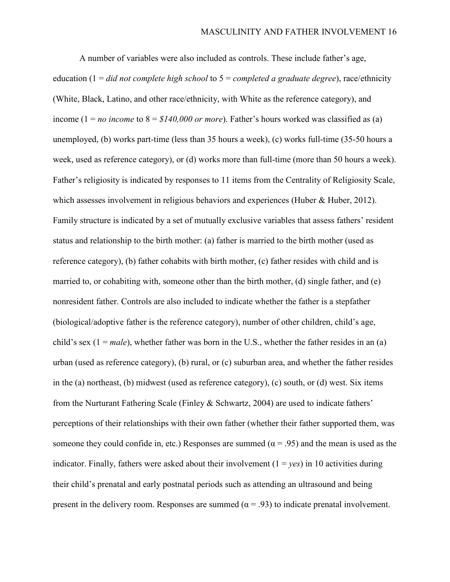A number of variables were also included as controls. These include father's age, education (1 = *did not complete high school* to 5 = *completed a graduate degree*), race/ethnicity (White, Black, Latino, and other race/ethnicity, with White as the reference category), and income ( $1 = no$  *income* to  $8 = $140,000$  *or more*). Father's hours worked was classified as (a) unemployed, (b) works part-time (less than 35 hours a week), (c) works full-time (35-50 hours a week, used as reference category), or (d) works more than full-time (more than 50 hours a week). Father's religiosity is indicated by responses to 11 items from the Centrality of Religiosity Scale, which assesses involvement in religious behaviors and experiences (Huber & Huber, 2012). Family structure is indicated by a set of mutually exclusive variables that assess fathers' resident status and relationship to the birth mother: (a) father is married to the birth mother (used as reference category), (b) father cohabits with birth mother, (c) father resides with child and is married to, or cohabiting with, someone other than the birth mother, (d) single father, and (e) nonresident father. Controls are also included to indicate whether the father is a stepfather (biological/adoptive father is the reference category), number of other children, child's age, child's sex (1 = *male*), whether father was born in the U.S., whether the father resides in an (a) urban (used as reference category), (b) rural, or (c) suburban area, and whether the father resides in the (a) northeast, (b) midwest (used as reference category), (c) south, or (d) west. Six items from the Nurturant Fathering Scale (Finley & Schwartz, 2004) are used to indicate fathers' perceptions of their relationships with their own father (whether their father supported them, was someone they could confide in, etc.) Responses are summed ( $\alpha$  = .95) and the mean is used as the indicator. Finally, fathers were asked about their involvement  $(1 = \nu \varepsilon s)$  in 10 activities during their child's prenatal and early postnatal periods such as attending an ultrasound and being present in the delivery room. Responses are summed ( $\alpha = .93$ ) to indicate prenatal involvement.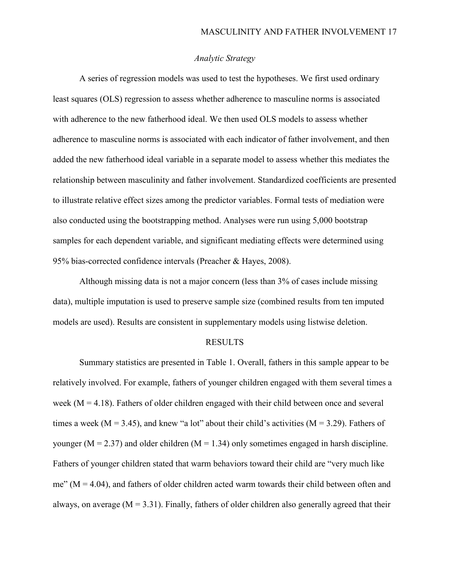# *Analytic Strategy*

A series of regression models was used to test the hypotheses. We first used ordinary least squares (OLS) regression to assess whether adherence to masculine norms is associated with adherence to the new fatherhood ideal. We then used OLS models to assess whether adherence to masculine norms is associated with each indicator of father involvement, and then added the new fatherhood ideal variable in a separate model to assess whether this mediates the relationship between masculinity and father involvement. Standardized coefficients are presented to illustrate relative effect sizes among the predictor variables. Formal tests of mediation were also conducted using the bootstrapping method. Analyses were run using 5,000 bootstrap samples for each dependent variable, and significant mediating effects were determined using 95% bias-corrected confidence intervals (Preacher & Hayes, 2008).

Although missing data is not a major concern (less than 3% of cases include missing data), multiple imputation is used to preserve sample size (combined results from ten imputed models are used). Results are consistent in supplementary models using listwise deletion.

#### RESULTS

Summary statistics are presented in Table 1. Overall, fathers in this sample appear to be relatively involved. For example, fathers of younger children engaged with them several times a week ( $M = 4.18$ ). Fathers of older children engaged with their child between once and several times a week ( $M = 3.45$ ), and knew "a lot" about their child's activities ( $M = 3.29$ ). Fathers of younger ( $M = 2.37$ ) and older children ( $M = 1.34$ ) only sometimes engaged in harsh discipline. Fathers of younger children stated that warm behaviors toward their child are "very much like me" ( $M = 4.04$ ), and fathers of older children acted warm towards their child between often and always, on average ( $M = 3.31$ ). Finally, fathers of older children also generally agreed that their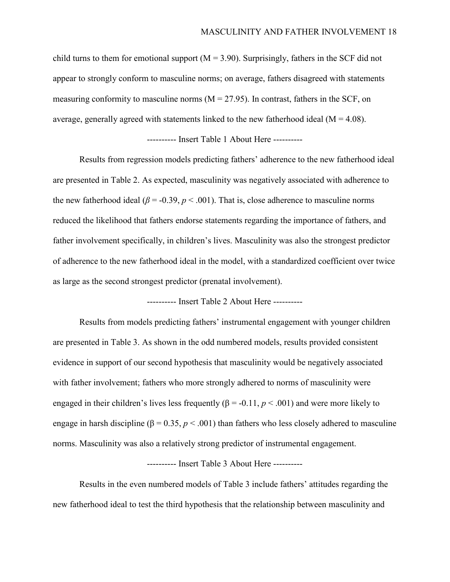child turns to them for emotional support  $(M = 3.90)$ . Surprisingly, fathers in the SCF did not appear to strongly conform to masculine norms; on average, fathers disagreed with statements measuring conformity to masculine norms  $(M = 27.95)$ . In contrast, fathers in the SCF, on average, generally agreed with statements linked to the new fatherhood ideal  $(M = 4.08)$ .

---------- Insert Table 1 About Here ----------

Results from regression models predicting fathers' adherence to the new fatherhood ideal are presented in Table 2. As expected, masculinity was negatively associated with adherence to the new fatherhood ideal ( $\beta$  = -0.39,  $p < .001$ ). That is, close adherence to masculine norms reduced the likelihood that fathers endorse statements regarding the importance of fathers, and father involvement specifically, in children's lives. Masculinity was also the strongest predictor of adherence to the new fatherhood ideal in the model, with a standardized coefficient over twice as large as the second strongest predictor (prenatal involvement).

---------- Insert Table 2 About Here ----------

Results from models predicting fathers' instrumental engagement with younger children are presented in Table 3. As shown in the odd numbered models, results provided consistent evidence in support of our second hypothesis that masculinity would be negatively associated with father involvement; fathers who more strongly adhered to norms of masculinity were engaged in their children's lives less frequently  $(\beta = -0.11, p < .001)$  and were more likely to engage in harsh discipline ( $\beta = 0.35$ ,  $p < .001$ ) than fathers who less closely adhered to masculine norms. Masculinity was also a relatively strong predictor of instrumental engagement.

---------- Insert Table 3 About Here ----------

Results in the even numbered models of Table 3 include fathers' attitudes regarding the new fatherhood ideal to test the third hypothesis that the relationship between masculinity and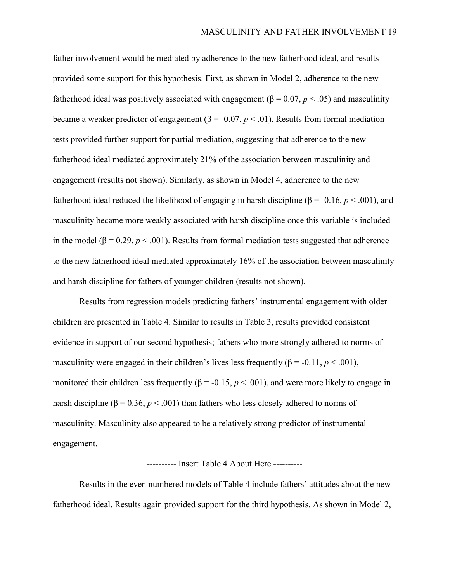father involvement would be mediated by adherence to the new fatherhood ideal, and results provided some support for this hypothesis. First, as shown in Model 2, adherence to the new fatherhood ideal was positively associated with engagement  $(\beta = 0.07, p < .05)$  and masculinity became a weaker predictor of engagement ( $β = -0.07, p < .01$ ). Results from formal mediation tests provided further support for partial mediation, suggesting that adherence to the new fatherhood ideal mediated approximately 21% of the association between masculinity and engagement (results not shown). Similarly, as shown in Model 4, adherence to the new fatherhood ideal reduced the likelihood of engaging in harsh discipline (β = -0.16, *p* < .001), and masculinity became more weakly associated with harsh discipline once this variable is included in the model (β = 0.29,  $p < .001$ ). Results from formal mediation tests suggested that adherence to the new fatherhood ideal mediated approximately 16% of the association between masculinity and harsh discipline for fathers of younger children (results not shown).

Results from regression models predicting fathers' instrumental engagement with older children are presented in Table 4. Similar to results in Table 3, results provided consistent evidence in support of our second hypothesis; fathers who more strongly adhered to norms of masculinity were engaged in their children's lives less frequently  $(\beta = -0.11, p < .001)$ , monitored their children less frequently ( $\beta$  = -0.15,  $p < .001$ ), and were more likely to engage in harsh discipline ( $\beta = 0.36$ ,  $p < .001$ ) than fathers who less closely adhered to norms of masculinity. Masculinity also appeared to be a relatively strong predictor of instrumental engagement.

#### ---------- Insert Table 4 About Here ----------

Results in the even numbered models of Table 4 include fathers' attitudes about the new fatherhood ideal. Results again provided support for the third hypothesis. As shown in Model 2,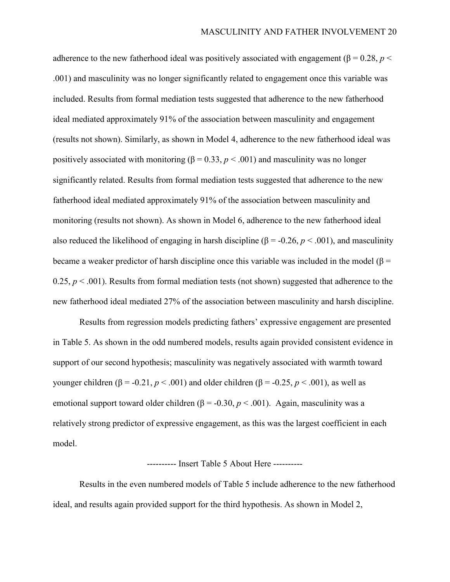adherence to the new fatherhood ideal was positively associated with engagement ( $\beta = 0.28$ ,  $p <$ .001) and masculinity was no longer significantly related to engagement once this variable was included. Results from formal mediation tests suggested that adherence to the new fatherhood ideal mediated approximately 91% of the association between masculinity and engagement (results not shown). Similarly, as shown in Model 4, adherence to the new fatherhood ideal was positively associated with monitoring  $(\beta = 0.33, p < .001)$  and masculinity was no longer significantly related. Results from formal mediation tests suggested that adherence to the new fatherhood ideal mediated approximately 91% of the association between masculinity and monitoring (results not shown). As shown in Model 6, adherence to the new fatherhood ideal also reduced the likelihood of engaging in harsh discipline (β = -0.26, *p* < .001), and masculinity became a weaker predictor of harsh discipline once this variable was included in the model ( $\beta$  = 0.25,  $p < .001$ ). Results from formal mediation tests (not shown) suggested that adherence to the new fatherhood ideal mediated 27% of the association between masculinity and harsh discipline.

Results from regression models predicting fathers' expressive engagement are presented in Table 5. As shown in the odd numbered models, results again provided consistent evidence in support of our second hypothesis; masculinity was negatively associated with warmth toward younger children (β = -0.21, *p* < .001) and older children (β = -0.25, *p* < .001), as well as emotional support toward older children  $(\beta = -0.30, p < .001)$ . Again, masculinity was a relatively strong predictor of expressive engagement, as this was the largest coefficient in each model.

### ---------- Insert Table 5 About Here ----------

Results in the even numbered models of Table 5 include adherence to the new fatherhood ideal, and results again provided support for the third hypothesis. As shown in Model 2,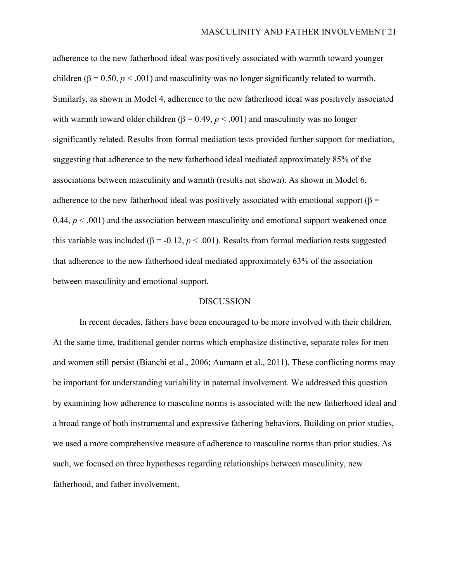adherence to the new fatherhood ideal was positively associated with warmth toward younger children ( $\beta$  = 0.50,  $p$  < .001) and masculinity was no longer significantly related to warmth. Similarly, as shown in Model 4, adherence to the new fatherhood ideal was positively associated with warmth toward older children ( $\beta = 0.49$ ,  $p < .001$ ) and masculinity was no longer significantly related. Results from formal mediation tests provided further support for mediation, suggesting that adherence to the new fatherhood ideal mediated approximately 85% of the associations between masculinity and warmth (results not shown). As shown in Model 6, adherence to the new fatherhood ideal was positively associated with emotional support ( $\beta$  = 0.44,  $p < .001$ ) and the association between masculinity and emotional support weakened once this variable was included ( $β = -0.12, p < 0.001$ ). Results from formal mediation tests suggested that adherence to the new fatherhood ideal mediated approximately 63% of the association between masculinity and emotional support.

### **DISCUSSION**

In recent decades, fathers have been encouraged to be more involved with their children. At the same time, traditional gender norms which emphasize distinctive, separate roles for men and women still persist (Bianchi et al., 2006; Aumann et al., 2011). These conflicting norms may be important for understanding variability in paternal involvement. We addressed this question by examining how adherence to masculine norms is associated with the new fatherhood ideal and a broad range of both instrumental and expressive fathering behaviors. Building on prior studies, we used a more comprehensive measure of adherence to masculine norms than prior studies. As such, we focused on three hypotheses regarding relationships between masculinity, new fatherhood, and father involvement.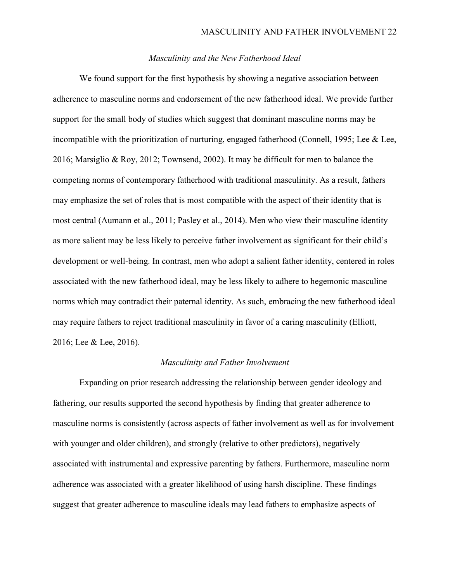## *Masculinity and the New Fatherhood Ideal*

We found support for the first hypothesis by showing a negative association between adherence to masculine norms and endorsement of the new fatherhood ideal. We provide further support for the small body of studies which suggest that dominant masculine norms may be incompatible with the prioritization of nurturing, engaged fatherhood (Connell, 1995; Lee & Lee, 2016; Marsiglio & Roy, 2012; Townsend, 2002). It may be difficult for men to balance the competing norms of contemporary fatherhood with traditional masculinity. As a result, fathers may emphasize the set of roles that is most compatible with the aspect of their identity that is most central (Aumann et al., 2011; Pasley et al., 2014). Men who view their masculine identity as more salient may be less likely to perceive father involvement as significant for their child's development or well-being. In contrast, men who adopt a salient father identity, centered in roles associated with the new fatherhood ideal, may be less likely to adhere to hegemonic masculine norms which may contradict their paternal identity. As such, embracing the new fatherhood ideal may require fathers to reject traditional masculinity in favor of a caring masculinity (Elliott, 2016; Lee & Lee, 2016).

### *Masculinity and Father Involvement*

Expanding on prior research addressing the relationship between gender ideology and fathering, our results supported the second hypothesis by finding that greater adherence to masculine norms is consistently (across aspects of father involvement as well as for involvement with younger and older children), and strongly (relative to other predictors), negatively associated with instrumental and expressive parenting by fathers. Furthermore, masculine norm adherence was associated with a greater likelihood of using harsh discipline. These findings suggest that greater adherence to masculine ideals may lead fathers to emphasize aspects of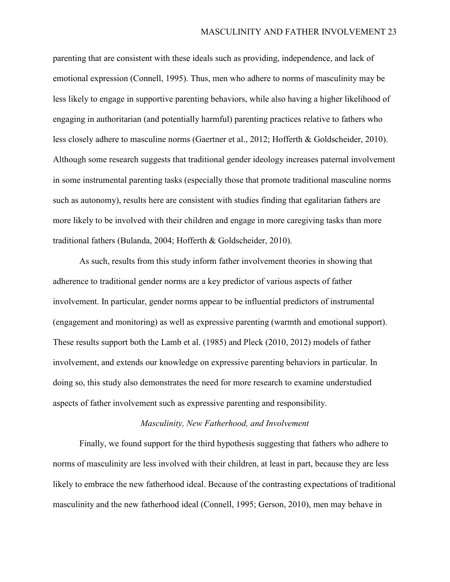parenting that are consistent with these ideals such as providing, independence, and lack of emotional expression (Connell, 1995). Thus, men who adhere to norms of masculinity may be less likely to engage in supportive parenting behaviors, while also having a higher likelihood of engaging in authoritarian (and potentially harmful) parenting practices relative to fathers who less closely adhere to masculine norms (Gaertner et al., 2012; Hofferth & Goldscheider, 2010). Although some research suggests that traditional gender ideology increases paternal involvement in some instrumental parenting tasks (especially those that promote traditional masculine norms such as autonomy), results here are consistent with studies finding that egalitarian fathers are more likely to be involved with their children and engage in more caregiving tasks than more traditional fathers (Bulanda, 2004; Hofferth & Goldscheider, 2010).

As such, results from this study inform father involvement theories in showing that adherence to traditional gender norms are a key predictor of various aspects of father involvement. In particular, gender norms appear to be influential predictors of instrumental (engagement and monitoring) as well as expressive parenting (warmth and emotional support). These results support both the Lamb et al. (1985) and Pleck (2010, 2012) models of father involvement, and extends our knowledge on expressive parenting behaviors in particular. In doing so, this study also demonstrates the need for more research to examine understudied aspects of father involvement such as expressive parenting and responsibility.

### *Masculinity, New Fatherhood, and Involvement*

Finally, we found support for the third hypothesis suggesting that fathers who adhere to norms of masculinity are less involved with their children, at least in part, because they are less likely to embrace the new fatherhood ideal. Because of the contrasting expectations of traditional masculinity and the new fatherhood ideal (Connell, 1995; Gerson, 2010), men may behave in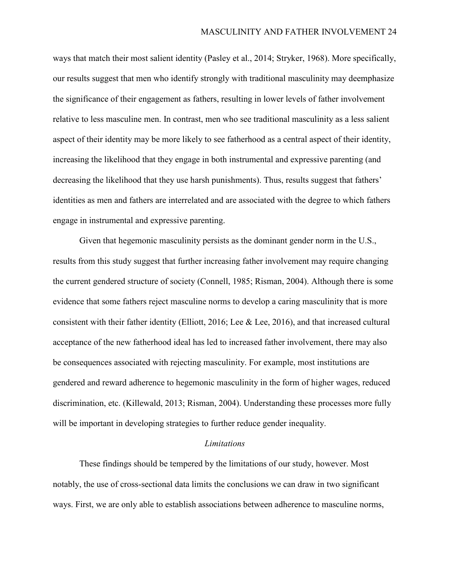ways that match their most salient identity (Pasley et al., 2014; Stryker, 1968). More specifically, our results suggest that men who identify strongly with traditional masculinity may deemphasize the significance of their engagement as fathers, resulting in lower levels of father involvement relative to less masculine men. In contrast, men who see traditional masculinity as a less salient aspect of their identity may be more likely to see fatherhood as a central aspect of their identity, increasing the likelihood that they engage in both instrumental and expressive parenting (and decreasing the likelihood that they use harsh punishments). Thus, results suggest that fathers' identities as men and fathers are interrelated and are associated with the degree to which fathers engage in instrumental and expressive parenting.

Given that hegemonic masculinity persists as the dominant gender norm in the U.S., results from this study suggest that further increasing father involvement may require changing the current gendered structure of society (Connell, 1985; Risman, 2004). Although there is some evidence that some fathers reject masculine norms to develop a caring masculinity that is more consistent with their father identity (Elliott, 2016; Lee & Lee, 2016), and that increased cultural acceptance of the new fatherhood ideal has led to increased father involvement, there may also be consequences associated with rejecting masculinity. For example, most institutions are gendered and reward adherence to hegemonic masculinity in the form of higher wages, reduced discrimination, etc. (Killewald, 2013; Risman, 2004). Understanding these processes more fully will be important in developing strategies to further reduce gender inequality.

#### *Limitations*

These findings should be tempered by the limitations of our study, however. Most notably, the use of cross-sectional data limits the conclusions we can draw in two significant ways. First, we are only able to establish associations between adherence to masculine norms,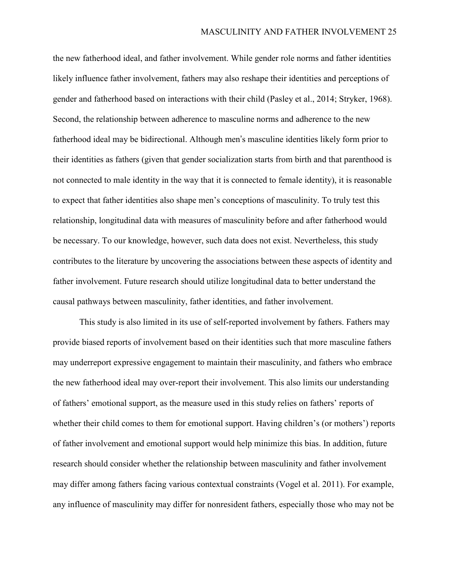the new fatherhood ideal, and father involvement. While gender role norms and father identities likely influence father involvement, fathers may also reshape their identities and perceptions of gender and fatherhood based on interactions with their child (Pasley et al., 2014; Stryker, 1968). Second, the relationship between adherence to masculine norms and adherence to the new fatherhood ideal may be bidirectional. Although men's masculine identities likely form prior to their identities as fathers (given that gender socialization starts from birth and that parenthood is not connected to male identity in the way that it is connected to female identity), it is reasonable to expect that father identities also shape men's conceptions of masculinity. To truly test this relationship, longitudinal data with measures of masculinity before and after fatherhood would be necessary. To our knowledge, however, such data does not exist. Nevertheless, this study contributes to the literature by uncovering the associations between these aspects of identity and father involvement. Future research should utilize longitudinal data to better understand the causal pathways between masculinity, father identities, and father involvement.

This study is also limited in its use of self-reported involvement by fathers. Fathers may provide biased reports of involvement based on their identities such that more masculine fathers may underreport expressive engagement to maintain their masculinity, and fathers who embrace the new fatherhood ideal may over-report their involvement. This also limits our understanding of fathers' emotional support, as the measure used in this study relies on fathers' reports of whether their child comes to them for emotional support. Having children's (or mothers') reports of father involvement and emotional support would help minimize this bias. In addition, future research should consider whether the relationship between masculinity and father involvement may differ among fathers facing various contextual constraints (Vogel et al. 2011). For example, any influence of masculinity may differ for nonresident fathers, especially those who may not be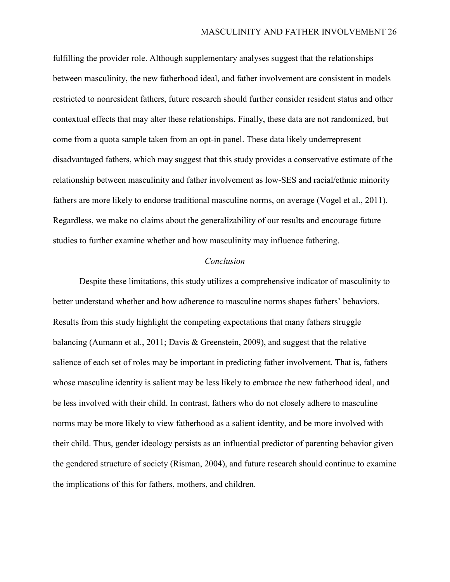fulfilling the provider role. Although supplementary analyses suggest that the relationships between masculinity, the new fatherhood ideal, and father involvement are consistent in models restricted to nonresident fathers, future research should further consider resident status and other contextual effects that may alter these relationships. Finally, these data are not randomized, but come from a quota sample taken from an opt-in panel. These data likely underrepresent disadvantaged fathers, which may suggest that this study provides a conservative estimate of the relationship between masculinity and father involvement as low-SES and racial/ethnic minority fathers are more likely to endorse traditional masculine norms, on average (Vogel et al., 2011). Regardless, we make no claims about the generalizability of our results and encourage future studies to further examine whether and how masculinity may influence fathering.

### *Conclusion*

Despite these limitations, this study utilizes a comprehensive indicator of masculinity to better understand whether and how adherence to masculine norms shapes fathers' behaviors. Results from this study highlight the competing expectations that many fathers struggle balancing (Aumann et al., 2011; Davis & Greenstein, 2009), and suggest that the relative salience of each set of roles may be important in predicting father involvement. That is, fathers whose masculine identity is salient may be less likely to embrace the new fatherhood ideal, and be less involved with their child. In contrast, fathers who do not closely adhere to masculine norms may be more likely to view fatherhood as a salient identity, and be more involved with their child. Thus, gender ideology persists as an influential predictor of parenting behavior given the gendered structure of society (Risman, 2004), and future research should continue to examine the implications of this for fathers, mothers, and children.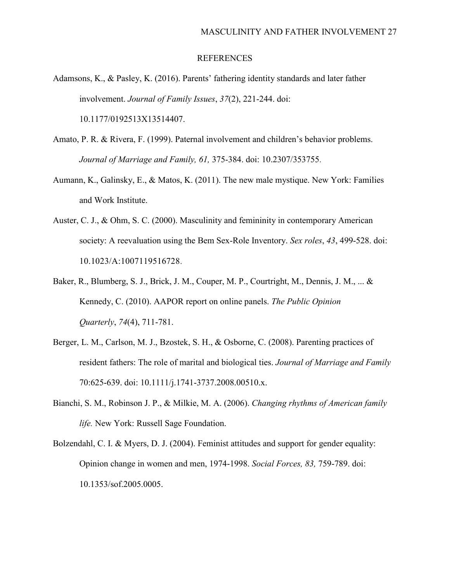#### REFERENCES

- Adamsons, K., & Pasley, K. (2016). Parents' fathering identity standards and later father involvement. *Journal of Family Issues*, *37*(2), 221-244. doi: [10.1177/0192513X13514407.](https://doi.org/10.1177/0192513X13514407)
- Amato, P. R. & Rivera, F. (1999). Paternal involvement and children's behavior problems. *Journal of Marriage and Family, 61,* 375-384. doi: 10.2307/353755.
- Aumann, K., Galinsky, E., & Matos, K. (2011). The new male mystique. New York: Families and Work Institute.
- Auster, C. J., & Ohm, S. C. (2000). Masculinity and femininity in contemporary American society: A reevaluation using the Bem Sex-Role Inventory. *Sex roles*, *43*, 499-528. doi: 10.1023/A:1007119516728.
- Baker, R., Blumberg, S. J., Brick, J. M., Couper, M. P., Courtright, M., Dennis, J. M., ... & Kennedy, C. (2010). AAPOR report on online panels. *The Public Opinion Quarterly*, *74*(4), 711-781.
- Berger, L. M., Carlson, M. J., Bzostek, S. H., & Osborne, C. (2008). Parenting practices of resident fathers: The role of marital and biological ties. *Journal of Marriage and Family*  70:625-639. doi: 10.1111/j.1741-3737.2008.00510.x.
- Bianchi, S. M., Robinson J. P., & Milkie, M. A. (2006). *Changing rhythms of American family life.* New York: Russell Sage Foundation.
- Bolzendahl, C. I. & Myers, D. J. (2004). Feminist attitudes and support for gender equality: Opinion change in women and men, 1974-1998. *Social Forces, 83,* 759-789. doi: [10.1353/sof.2005.0005.](https://doi.org/10.1353/sof.2005.0005)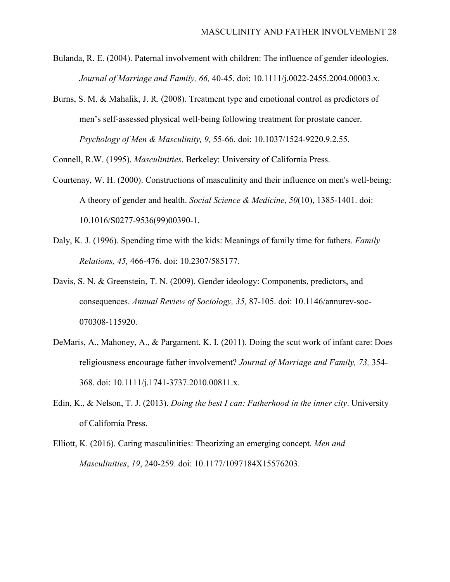- Bulanda, R. E. (2004). Paternal involvement with children: The influence of gender ideologies. *Journal of Marriage and Family, 66,* 40-45. doi: 10.1111/j.0022-2455.2004.00003.x.
- Burns, S. M. & Mahalik, J. R. (2008). Treatment type and emotional control as predictors of men's self-assessed physical well-being following treatment for prostate cancer. *Psychology of Men & Masculinity, 9,* 55-66. doi: 10.1037/1524-9220.9.2.55.

Connell, R.W. (1995). *Masculinities*. Berkeley: University of California Press.

- Courtenay, W. H. (2000). Constructions of masculinity and their influence on men's well-being: A theory of gender and health. *Social Science & Medicine*, *50*(10), 1385-1401. doi: [10.1016/S0277-9536\(99\)00390-1.](https://doi.org/10.1016/S0277-9536(99)00390-1)
- Daly, K. J. (1996). Spending time with the kids: Meanings of family time for fathers. *Family Relations, 45,* 466-476. doi: 10.2307/585177.
- Davis, S. N. & Greenstein, T. N. (2009). Gender ideology: Components, predictors, and consequences. *Annual Review of Sociology, 35,* 87-105. doi: [10.1146/annurev-soc-](https://doi.org/10.1146/annurev-soc-070308-115920)[070308-115920.](https://doi.org/10.1146/annurev-soc-070308-115920)
- DeMaris, A., Mahoney, A., & Pargament, K. I. (2011). Doing the scut work of infant care: Does religiousness encourage father involvement? *Journal of Marriage and Family, 73,* 354- 368. doi: [10.1111/j.1741-3737.2010.00811.x.](https://dx.doi.org/10.1111%2Fj.1741-3737.2010.00811.x)
- Edin, K., & Nelson, T. J. (2013). *Doing the best I can: Fatherhood in the inner city*. University of California Press.
- Elliott, K. (2016). Caring masculinities: Theorizing an emerging concept. *Men and Masculinities*, *19*, 240-259. doi: [10.1177/1097184X15576203.](https://doi.org/10.1177/1097184X15576203)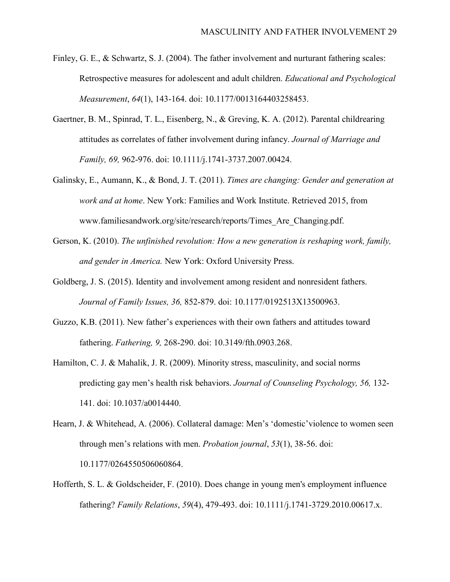- Finley, G. E., & Schwartz, S. J. (2004). The father involvement and nurturant fathering scales: Retrospective measures for adolescent and adult children. *Educational and Psychological Measurement*, *64*(1), 143-164. doi: [10.1177/0013164403258453.](https://doi.org/10.1177/0013164403258453)
- Gaertner, B. M., Spinrad, T. L., Eisenberg, N., & Greving, K. A. (2012). Parental childrearing attitudes as correlates of father involvement during infancy. *Journal of Marriage and Family, 69,* 962-976. doi: [10.1111/j.1741-3737.2007.00424](https://dx.doi.org/10.1111%2Fj.1741-3737.2007.00424).
- Galinsky, E., Aumann, K., & Bond, J. T. (2011). *Times are changing: Gender and generation at work and at home*. New York: Families and Work Institute. Retrieved 2015, from www.familiesandwork.org/site/research/reports/Times\_Are\_Changing.pdf.
- Gerson, K. (2010). *The unfinished revolution: How a new generation is reshaping work, family, and gender in America.* New York: Oxford University Press.
- Goldberg, J. S. (2015). Identity and involvement among resident and nonresident fathers. *Journal of Family Issues, 36,* 852-879. doi: [10.1177/0192513X13500963.](https://doi.org/10.1177/0192513X13500963)
- Guzzo, K.B. (2011). New father's experiences with their own fathers and attitudes toward fathering. *Fathering, 9,* 268-290. doi: [10.3149/fth.0903.268.](https://doi.org/10.3149/fth.0903.268)
- Hamilton, C. J. & Mahalik, J. R. (2009). Minority stress, masculinity, and social norms predicting gay men's health risk behaviors. *Journal of Counseling Psychology, 56,* 132- 141. doi: [10.1037/a0014440.](http://psycnet.apa.org/doi/10.1037/a0014440)
- Hearn, J. & Whitehead, A. (2006). Collateral damage: Men's 'domestic'violence to women seen through men's relations with men. *Probation journal*, *53*(1), 38-56. doi: [10.1177/0264550506060864.](https://doi.org/10.1177/0264550506060864)
- Hofferth, S. L. & Goldscheider, F. (2010). Does change in young men's employment influence fathering? *Family Relations*, *59*(4), 479-493. doi: [10.1111/j.1741-3729.2010.00617.x.](https://doi.org/10.1111/j.1741-3729.2010.00617.x)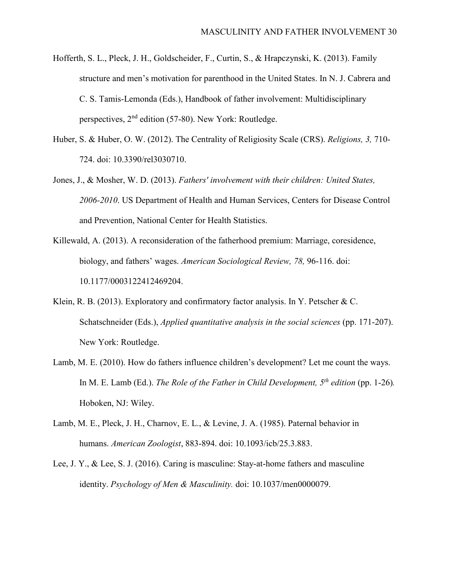- Hofferth, S. L., Pleck, J. H., Goldscheider, F., Curtin, S., & Hrapczynski, K. (2013). Family structure and men's motivation for parenthood in the United States. In N. J. Cabrera and C. S. Tamis-Lemonda (Eds.), Handbook of father involvement: Multidisciplinary perspectives,  $2<sup>nd</sup>$  edition (57-80). New York: Routledge.
- Huber, S. & Huber, O. W. (2012). The Centrality of Religiosity Scale (CRS). *Religions, 3,* 710- 724. doi: 10.3390/rel3030710.
- Jones, J., & Mosher, W. D. (2013). *Fathers' involvement with their children: United States, 2006-2010*. US Department of Health and Human Services, Centers for Disease Control and Prevention, National Center for Health Statistics.
- Killewald, A. (2013). A reconsideration of the fatherhood premium: Marriage, coresidence, biology, and fathers' wages. *American Sociological Review, 78,* 96-116. doi: [10.1177/0003122412469204.](https://doi.org/10.1177/0003122412469204)
- Klein, R. B. (2013). Exploratory and confirmatory factor analysis. In Y. Petscher & C. Schatschneider (Eds.), *Applied quantitative analysis in the social sciences* (pp. 171-207). New York: Routledge.
- Lamb, M. E. (2010). How do fathers influence children's development? Let me count the ways. In M. E. Lamb (Ed.). *The Role of the Father in Child Development,*  $5<sup>th</sup>$  *edition* (pp. 1-26)*.* Hoboken, NJ: Wiley.
- Lamb, M. E., Pleck, J. H., Charnov, E. L., & Levine, J. A. (1985). Paternal behavior in humans. *American Zoologist*, 883-894. doi: [10.1093/icb/25.3.883.](https://doi.org/10.1093/icb/25.3.883)
- Lee, J. Y., & Lee, S. J. (2016). Caring is masculine: Stay-at-home fathers and masculine identity. *Psychology of Men & Masculinity.* doi: 10.1037/men0000079.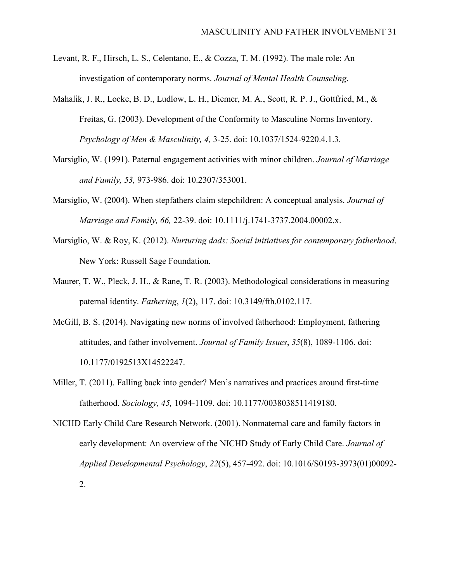- Levant, R. F., Hirsch, L. S., Celentano, E., & Cozza, T. M. (1992). The male role: An investigation of contemporary norms. *Journal of Mental Health Counseling*.
- Mahalik, J. R., Locke, B. D., Ludlow, L. H., Diemer, M. A., Scott, R. P. J., Gottfried, M., & Freitas, G. (2003). Development of the Conformity to Masculine Norms Inventory. *Psychology of Men & Masculinity, 4,* 3-25. doi: 10.1037/1524-9220.4.1.3.
- Marsiglio, W. (1991). Paternal engagement activities with minor children. *Journal of Marriage and Family, 53,* 973-986. doi: 10.2307/353001.
- Marsiglio, W. (2004). When stepfathers claim stepchildren: A conceptual analysis. *Journal of Marriage and Family, 66,* 22-39. doi: 10.1111/j.1741-3737.2004.00002.x.
- Marsiglio, W. & Roy, K. (2012). *Nurturing dads: Social initiatives for contemporary fatherhood*. New York: Russell Sage Foundation.
- Maurer, T. W., Pleck, J. H., & Rane, T. R. (2003). Methodological considerations in measuring paternal identity. *Fathering*, *1*(2), 117. doi: [10.3149/fth.0102.117.](http://psycnet.apa.org/doi/10.3149/fth.0102.117)
- McGill, B. S. (2014). Navigating new norms of involved fatherhood: Employment, fathering attitudes, and father involvement. *Journal of Family Issues*, *35*(8), 1089-1106. doi: [10.1177/0192513X14522247.](https://doi.org/10.1177/0192513X14522247)
- Miller, T. (2011). Falling back into gender? Men's narratives and practices around first-time fatherhood. *Sociology, 45,* 1094-1109. doi: [10.1177/0038038511419180.](https://doi.org/10.1177/0038038511419180)
- NICHD Early Child Care Research Network. (2001). Nonmaternal care and family factors in early development: An overview of the NICHD Study of Early Child Care. *Journal of Applied Developmental Psychology*, *22*(5), 457-492. doi: [10.1016/S0193-3973\(01\)00092-](https://doi.org/10.1016/S0193-3973(01)00092-2) [2.](https://doi.org/10.1016/S0193-3973(01)00092-2)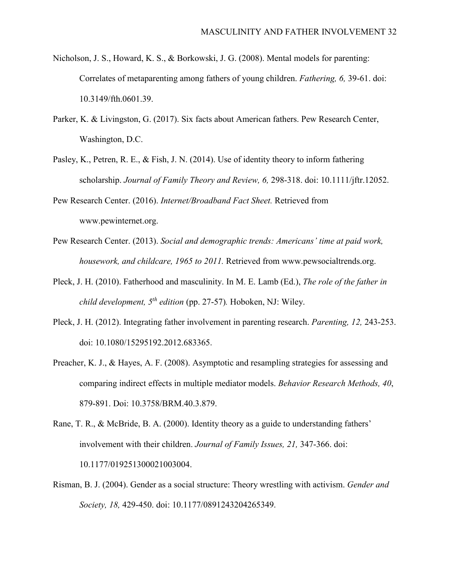- Nicholson, J. S., Howard, K. S., & Borkowski, J. G. (2008). Mental models for parenting: Correlates of metaparenting among fathers of young children. *Fathering, 6,* 39-61. doi: 10.3149/fth.0601.39.
- Parker, K. & Livingston, G. (2017). Six facts about American fathers. Pew Research Center, Washington, D.C.
- Pasley, K., Petren, R. E., & Fish, J. N. (2014). Use of identity theory to inform fathering scholarship. *Journal of Family Theory and Review, 6,* 298-318. doi: 10.1111/jftr.12052.
- Pew Research Center. (2016). *Internet/Broadband Fact Sheet.* Retrieved from www.pewinternet.org.
- Pew Research Center. (2013). *Social and demographic trends: Americans' time at paid work, housework, and childcare, 1965 to 2011.* Retrieved from www.pewsocialtrends.org.
- Pleck, J. H. (2010). Fatherhood and masculinity. In M. E. Lamb (Ed.), *The role of the father in child development, 5th edition* (pp. 27-57)*.* Hoboken, NJ: Wiley.
- Pleck, J. H. (2012). Integrating father involvement in parenting research. *Parenting, 12,* 243-253. doi: [10.1080/15295192.2012.683365](https://doi.org/10.1080/15295192.2012.683365).
- Preacher, K. J., & Hayes, A. F. (2008). Asymptotic and resampling strategies for assessing and comparing indirect effects in multiple mediator models. *Behavior Research Methods, 40*, 879-891. Doi: 10.3758/BRM.40.3.879.
- Rane, T. R., & McBride, B. A. (2000). Identity theory as a guide to understanding fathers' involvement with their children. *Journal of Family Issues, 21,* 347-366. doi: [10.1177/019251300021003004.](https://doi.org/10.1177/019251300021003004)
- Risman, B. J. (2004). Gender as a social structure: Theory wrestling with activism. *Gender and Society, 18,* 429-450. doi: [10.1177/0891243204265349](https://doi.org/10.1177/0891243204265349).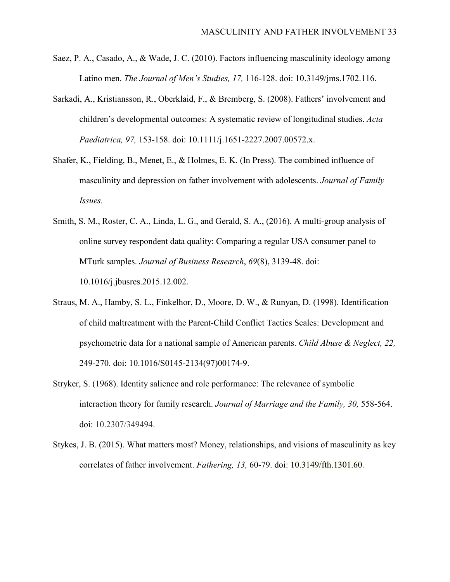- Saez, P. A., Casado, A., & Wade, J. C. (2010). Factors influencing masculinity ideology among Latino men. *The Journal of Men's Studies, 17,* 116-128. doi: [10.3149/jms.1702.116](https://doi.org/10.3149/jms.1702.116).
- Sarkadi, A., Kristiansson, R., Oberklaid, F., & Bremberg, S. (2008). Fathers' involvement and children's developmental outcomes: A systematic review of longitudinal studies. *Acta Paediatrica, 97,* 153-158. doi: [10.1111/j.1651-2227.2007.00572.x](https://doi.org/10.1111/j.1651-2227.2007.00572.x).
- Shafer, K., Fielding, B., Menet, E., & Holmes, E. K. (In Press). The combined influence of masculinity and depression on father involvement with adolescents. *Journal of Family Issues.*
- Smith, S. M., Roster, C. A., Linda, L. G., and Gerald, S. A., (2016). A multi-group analysis of online survey respondent data quality: Comparing a regular USA consumer panel to MTurk samples. *Journal of Business Research*, *69*(8), 3139-48. doi: [10.1016/j.jbusres.2015.12.002](https://doi.org/10.1016/j.jbusres.2015.12.002).
- Straus, M. A., Hamby, S. L., Finkelhor, D., Moore, D. W., & Runyan, D. (1998). Identification of child maltreatment with the Parent-Child Conflict Tactics Scales: Development and psychometric data for a national sample of American parents. *Child Abuse & Neglect, 22,*  249-270. doi: [10.1016/S0145-2134\(97\)00174-9](https://doi.org/10.1016/S0145-2134(97)00174-9).
- Stryker, S. (1968). Identity salience and role performance: The relevance of symbolic interaction theory for family research. *Journal of Marriage and the Family, 30,* 558-564. doi: 10.2307/349494.
- Stykes, J. B. (2015). What matters most? Money, relationships, and visions of masculinity as key correlates of father involvement. *Fathering, 13,* 60-79. doi: [10.3149/fth.1301.60](http://dx.doi.org/10.3149/fth.1301.60).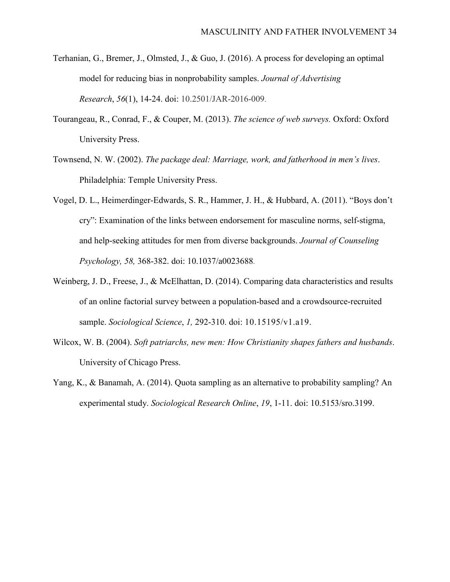- Terhanian, G., Bremer, J., Olmsted, J., & Guo, J. (2016). A process for developing an optimal model for reducing bias in nonprobability samples. *Journal of Advertising Research*, *56*(1), 14-24. doi: 10.2501/JAR-2016-009.
- Tourangeau, R., Conrad, F., & Couper, M. (2013). *The science of web surveys.* Oxford: Oxford University Press.
- Townsend, N. W. (2002). *The package deal: Marriage, work, and fatherhood in men's lives*. Philadelphia: Temple University Press.
- Vogel, D. L., Heimerdinger-Edwards, S. R., Hammer, J. H., & Hubbard, A. (2011). "Boys don't cry": Examination of the links between endorsement for masculine norms, self-stigma, and help-seeking attitudes for men from diverse backgrounds. *Journal of Counseling Psychology, 58,* 368-382. doi: 10.1037/a0023688.
- Weinberg, J. D., Freese, J., & McElhattan, D. (2014). Comparing data characteristics and results of an online factorial survey between a population-based and a crowdsource-recruited sample. *Sociological Science*, *1,* 292-310. doi: 10.15195/v1.a19.
- Wilcox, W. B. (2004). *Soft patriarchs, new men: How Christianity shapes fathers and husbands*. University of Chicago Press.
- Yang, K., & Banamah, A. (2014). Quota sampling as an alternative to probability sampling? An experimental study. *Sociological Research Online*, *19*, 1-11. doi: [10.5153/sro.3199.](https://doi.org/10.5153/sro.3199)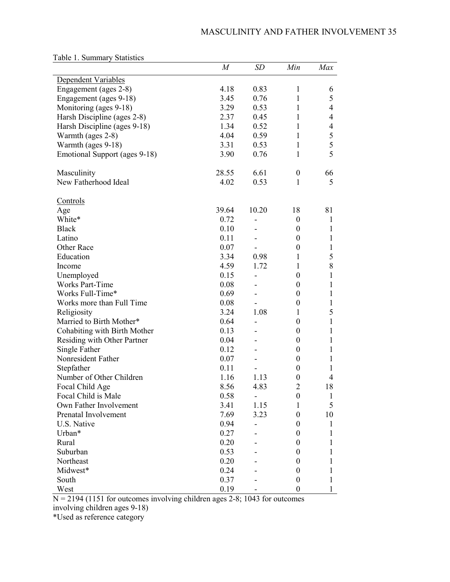|                               | $\boldsymbol{M}$ | SD                       | Min              | Max          |
|-------------------------------|------------------|--------------------------|------------------|--------------|
| Dependent Variables           |                  |                          |                  |              |
| Engagement (ages 2-8)         | 4.18             | 0.83                     | 1                | 6            |
| Engagement (ages 9-18)        | 3.45             | 0.76                     | $\mathbf{1}$     | 5            |
| Monitoring (ages 9-18)        | 3.29             | 0.53                     | $\mathbf{1}$     | 4            |
| Harsh Discipline (ages 2-8)   | 2.37             | 0.45                     | 1                | 4            |
| Harsh Discipline (ages 9-18)  | 1.34             | 0.52                     | $\mathbf{1}$     | 4            |
| Warmth (ages 2-8)             | 4.04             | 0.59                     | $\mathbf{1}$     | 5            |
| Warmth (ages 9-18)            | 3.31             | 0.53                     | $\mathbf{1}$     | 5            |
| Emotional Support (ages 9-18) | 3.90             | 0.76                     | 1                | 5            |
|                               |                  |                          |                  |              |
| Masculinity                   | 28.55            | 6.61                     | $\boldsymbol{0}$ | 66           |
| New Fatherhood Ideal          | 4.02             | 0.53                     | $\mathbf{1}$     | 5            |
|                               |                  |                          |                  |              |
| <u>Controls</u>               |                  |                          |                  |              |
| Age                           | 39.64            | 10.20                    | 18               | 81           |
| White*                        | 0.72             | -                        | $\boldsymbol{0}$ | $\mathbf{1}$ |
| <b>Black</b>                  | 0.10             |                          | $\boldsymbol{0}$ | $\mathbf{1}$ |
| Latino                        | 0.11             |                          | $\boldsymbol{0}$ | $\mathbf{1}$ |
| Other Race                    | 0.07             |                          | $\boldsymbol{0}$ | $\mathbf{1}$ |
| Education                     | 3.34             | 0.98                     | 1                | 5            |
| Income                        | 4.59             | 1.72                     | $\mathbf{1}$     | 8            |
| Unemployed                    | 0.15             | -                        | $\boldsymbol{0}$ | $\mathbf{1}$ |
| <b>Works Part-Time</b>        | 0.08             | -                        | $\boldsymbol{0}$ | 1            |
| Works Full-Time*              | 0.69             | ä,                       | $\boldsymbol{0}$ | 1            |
| Works more than Full Time     | 0.08             |                          | $\boldsymbol{0}$ | $\mathbf{1}$ |
| Religiosity                   | 3.24             | 1.08                     | 1                | 5            |
| Married to Birth Mother*      | 0.64             | -                        | $\boldsymbol{0}$ | $\mathbf{1}$ |
| Cohabiting with Birth Mother  | 0.13             |                          | $\boldsymbol{0}$ | 1            |
| Residing with Other Partner   | 0.04             |                          | $\boldsymbol{0}$ | 1            |
| Single Father                 | 0.12             | -                        | $\boldsymbol{0}$ | 1            |
| Nonresident Father            | 0.07             | $\overline{\phantom{0}}$ | $\boldsymbol{0}$ | 1            |
| Stepfather                    | 0.11             | $\overline{\phantom{a}}$ | $\boldsymbol{0}$ | 1            |
| Number of Other Children      | 1.16             | 1.13                     | $\boldsymbol{0}$ | 4            |
| Focal Child Age               | 8.56             | 4.83                     | $\overline{2}$   | 18           |
| Focal Child is Male           | 0.58             |                          | $\boldsymbol{0}$ | $\mathbf{1}$ |
| Own Father Involvement        | 3.41             | 1.15                     | 1                | 5            |
| Prenatal Involvement          | 7.69             | 3.23                     | $\boldsymbol{0}$ | 10           |
| U.S. Native                   | 0.94             |                          | $\theta$         | 1            |
| Urban*                        | 0.27             |                          | $^{(1)}$         | 1            |
| Rural                         | 0.20             |                          | $^{(1)}$         | 1            |
| Suburban                      | 0.53             |                          | $_{0}$           | 1            |
| Northeast                     | 0.20             |                          | $^{(1)}$         |              |
| Midwest*                      | 0.24             |                          | $\boldsymbol{0}$ | 1            |
| South                         | 0.37             |                          | $\boldsymbol{0}$ | 1            |
|                               |                  |                          |                  | 1            |
| West                          | 0.19             |                          | $\boldsymbol{0}$ |              |

Table 1. Summary Statistics

 $N = 2194$  (1151 for outcomes involving children ages 2-8; 1043 for outcomes

involving children ages 9-18)

\*Used as reference category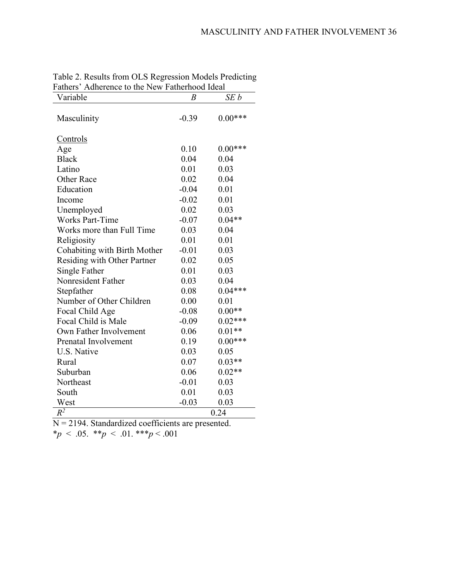# MASCULINITY AND FATHER INVOLVEMENT 36

| Fathers' Adherence to the New Fatherhood Ideal |                  |           |
|------------------------------------------------|------------------|-----------|
| Variable                                       | $\boldsymbol{B}$ | SEb       |
| Masculinity                                    | $-0.39$          | $0.00***$ |
| Controls                                       |                  |           |
| Age                                            | 0.10             | $0.00***$ |
| <b>Black</b>                                   | 0.04             | 0.04      |
| Latino                                         | 0.01             | 0.03      |
| <b>Other Race</b>                              | 0.02             | 0.04      |
| Education                                      | $-0.04$          | 0.01      |
| Income                                         | $-0.02$          | 0.01      |
| Unemployed                                     | 0.02             | 0.03      |
| <b>Works Part-Time</b>                         | $-0.07$          | $0.04**$  |
| Works more than Full Time                      | 0.03             | 0.04      |
| Religiosity                                    | 0.01             | 0.01      |
| Cohabiting with Birth Mother                   | $-0.01$          | 0.03      |
| Residing with Other Partner                    | 0.02             | 0.05      |
| Single Father                                  | 0.01             | 0.03      |
| Nonresident Father                             | 0.03             | 0.04      |
| Stepfather                                     | 0.08             | $0.04***$ |
| Number of Other Children                       | 0.00             | 0.01      |
| Focal Child Age                                | $-0.08$          | $0.00**$  |
| Focal Child is Male                            | $-0.09$          | $0.02***$ |
| Own Father Involvement                         | 0.06             | $0.01**$  |
| Prenatal Involvement                           | 0.19             | $0.00***$ |
| U.S. Native                                    | 0.03             | 0.05      |
| Rural                                          | 0.07             | $0.03**$  |
| Suburban                                       | 0.06             | $0.02**$  |
| Northeast                                      | $-0.01$          | 0.03      |
| South                                          | 0.01             | 0.03      |
| West                                           | $-0.03$          | 0.03      |
| $R^{\overline{2}}$                             |                  | 0.24      |

Table 2. Results from OLS Regression Models Predicting Fathers' Adherence to the New Fatherhood Ideal  $\overline{\phantom{0}}$ 

N = 2194. Standardized coefficients are presented.

\**p* < .05. \*\**p* < .01. \*\*\**p* < .001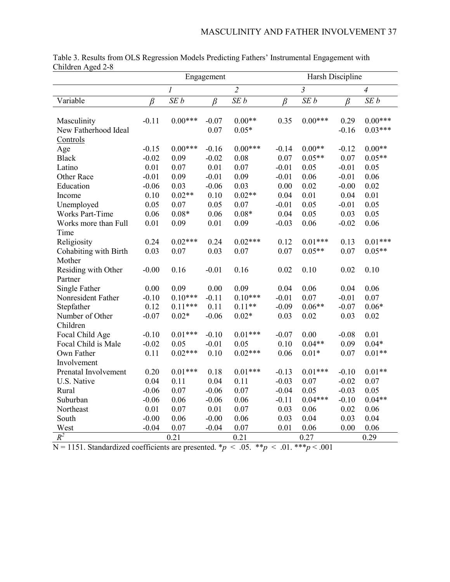| $\sim$ and $\sim$ $\sim$ $\sim$<br>$\mathbf{u} \mathbf{u}$ |                 |               | Engagement |                | Harsh Discipline |                           |                |           |  |  |
|------------------------------------------------------------|-----------------|---------------|------------|----------------|------------------|---------------------------|----------------|-----------|--|--|
|                                                            |                 | $\mathfrak l$ |            | $\overline{2}$ |                  | $\overline{\mathfrak{z}}$ | $\overline{4}$ |           |  |  |
| Variable                                                   | SE b<br>$\beta$ |               | β          | SE b           | $\beta$          | SE b                      | $\beta$        | SEb       |  |  |
|                                                            |                 |               |            |                |                  |                           |                |           |  |  |
| Masculinity                                                | $-0.11$         | $0.00***$     | $-0.07$    | $0.00**$       | 0.35             | $0.00***$                 | 0.29           | $0.00***$ |  |  |
| New Fatherhood Ideal                                       |                 |               | 0.07       | $0.05*$        |                  |                           | $-0.16$        | $0.03***$ |  |  |
| Controls                                                   |                 |               |            |                |                  |                           |                |           |  |  |
| Age                                                        | $-0.15$         | $0.00***$     | $-0.16$    | $0.00***$      | $-0.14$          | $0.00**$                  | $-0.12$        | $0.00**$  |  |  |
| <b>Black</b>                                               | $-0.02$         | 0.09          | $-0.02$    | 0.08           | 0.07             | $0.05**$                  | 0.07           | $0.05**$  |  |  |
| Latino                                                     | 0.01            | 0.07          | 0.01       | 0.07           | $-0.01$          | 0.05                      | $-0.01$        | 0.05      |  |  |
| Other Race                                                 | $-0.01$         | 0.09          | $-0.01$    | 0.09           | $-0.01$          | 0.06                      | $-0.01$        | 0.06      |  |  |
| Education                                                  | $-0.06$         | 0.03          | $-0.06$    | 0.03           | 0.00             | 0.02                      | $-0.00$        | 0.02      |  |  |
| Income                                                     | 0.10            | $0.02**$      | 0.10       | $0.02**$       | 0.04             | 0.01                      | 0.04           | 0.01      |  |  |
| Unemployed                                                 | 0.05            | 0.07          | 0.05       | 0.07           | $-0.01$          | 0.05                      | $-0.01$        | 0.05      |  |  |
| <b>Works Part-Time</b>                                     | 0.06            | $0.08*$       | 0.06       | $0.08*$        | 0.04             | 0.05                      | 0.03           | 0.05      |  |  |
| Works more than Full                                       | 0.01            | 0.09          | 0.01       | 0.09           | $-0.03$          | 0.06                      | $-0.02$        | 0.06      |  |  |
| Time                                                       |                 |               |            |                |                  |                           |                |           |  |  |
| Religiosity                                                | 0.24            | $0.02***$     | 0.24       | $0.02***$      | 0.12             | $0.01***$                 | 0.13           | $0.01***$ |  |  |
| Cohabiting with Birth                                      | 0.03            | 0.07          | 0.03       | 0.07           | 0.07             | $0.05**$                  | 0.07           | $0.05**$  |  |  |
| Mother                                                     |                 |               |            |                |                  |                           |                |           |  |  |
| Residing with Other                                        | $-0.00$         | 0.16          | $-0.01$    | 0.16           | 0.02             | 0.10                      | 0.02           | 0.10      |  |  |
| Partner                                                    |                 |               |            |                |                  |                           |                |           |  |  |
| Single Father                                              | 0.00            | 0.09          | 0.00       | 0.09           | 0.04             | 0.06                      | 0.04           | 0.06      |  |  |
| Nonresident Father                                         | $-0.10$         | $0.10***$     | $-0.11$    | $0.10***$      | $-0.01$          | 0.07                      | $-0.01$        | 0.07      |  |  |
| Stepfather                                                 | 0.12            | $0.11***$     | 0.11       | $0.11**$       | $-0.09$          | $0.06**$                  | $-0.07$        | $0.06*$   |  |  |
| Number of Other                                            | $-0.07$         | $0.02*$       | $-0.06$    | $0.02*$        | 0.03             | 0.02                      | 0.03           | 0.02      |  |  |
| Children                                                   |                 |               |            |                |                  |                           |                |           |  |  |
| Focal Child Age                                            | $-0.10$         | $0.01***$     | $-0.10$    | $0.01***$      | $-0.07$          | 0.00                      | $-0.08$        | 0.01      |  |  |
| Focal Child is Male                                        | $-0.02$         | 0.05          | $-0.01$    | 0.05           | 0.10             | $0.04**$                  | 0.09           | $0.04*$   |  |  |
| Own Father                                                 | 0.11            | $0.02***$     | 0.10       | $0.02***$      | 0.06             | $0.01*$                   | 0.07           | $0.01**$  |  |  |
| Involvement                                                |                 |               |            |                |                  |                           |                |           |  |  |
| Prenatal Involvement                                       | 0.20            | $0.01***$     | 0.18       | $0.01***$      | $-0.13$          | $0.01***$                 | $-0.10$        | $0.01**$  |  |  |
| U.S. Native                                                | 0.04            | 0.11          | 0.04       | 0.11           | $-0.03$          | 0.07                      | $-0.02$        | 0.07      |  |  |
| Rural                                                      | $-0.06$         | 0.07          | $-0.06$    | 0.07           | $-0.04$          | 0.05                      | $-0.03$        | 0.05      |  |  |
| Suburban                                                   | $-0.06$         | 0.06          | $-0.06$    | 0.06           | $-0.11$          | $0.04***$                 | $-0.10$        | $0.04**$  |  |  |
| Northeast                                                  | 0.01            | 0.07          | 0.01       | 0.07           | 0.03             | 0.06                      | 0.02           | 0.06      |  |  |
| South                                                      | $-0.00$         | 0.06          | $-0.00$    | 0.06           | 0.03             | 0.04                      | 0.03           | 0.04      |  |  |
| West                                                       | $-0.04$         | 0.07          | $-0.04$    | 0.07           | 0.01             | 0.06                      | 0.00           | 0.06      |  |  |
| $\overline{R^2}$                                           |                 | 0.21          |            | 0.21           |                  | 0.27                      |                | 0.29      |  |  |
|                                                            |                 |               |            |                |                  |                           |                |           |  |  |

Table 3. Results from OLS Regression Models Predicting Fathers' Instrumental Engagement with Children Aged 2-8

 $N = 1151$ . Standardized coefficients are presented. \**p* < .05. \*\**p* < .01. \*\*\**p* < .001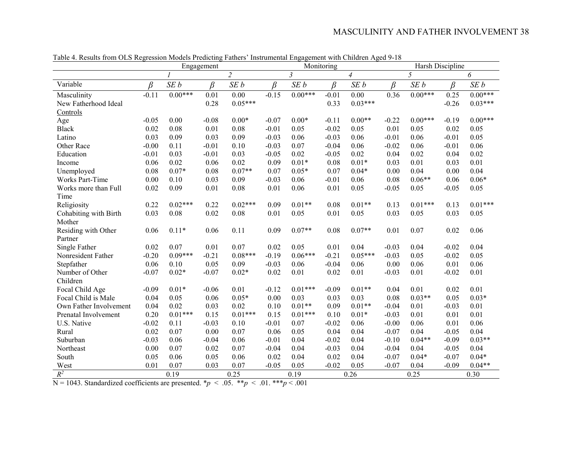|                        |         |                | Engagement |                   |         |                | Monitoring |           |         | Harsh Discipline |         |           |  |
|------------------------|---------|----------------|------------|-------------------|---------|----------------|------------|-----------|---------|------------------|---------|-----------|--|
|                        |         | $\overline{c}$ |            | $\mathfrak{Z}$    |         | $\overline{4}$ |            | 5         |         | 6                |         |           |  |
| Variable               | $\beta$ | SE b           | $\beta$    | SEb               | B       | SEb            | B          | SEb       | β       | SEb              | B       | SEb       |  |
| Masculinity            | $-0.11$ | $0.00***$      | 0.01       | $\overline{0.00}$ | $-0.15$ | $0.00***$      | $-0.01$    | 0.00      | 0.36    | $0.00***$        | 0.25    | $0.00***$ |  |
| New Fatherhood Ideal   |         |                | 0.28       | $0.05***$         |         |                | 0.33       | $0.03***$ |         |                  | $-0.26$ | $0.03***$ |  |
| Controls               |         |                |            |                   |         |                |            |           |         |                  |         |           |  |
| Age                    | $-0.05$ | 0.00           | $-0.08$    | $0.00*$           | $-0.07$ | $0.00*$        | $-0.11$    | $0.00**$  | $-0.22$ | $0.00***$        | $-0.19$ | $0.00***$ |  |
| <b>Black</b>           | 0.02    | 0.08           | 0.01       | 0.08              | $-0.01$ | 0.05           | $-0.02$    | 0.05      | 0.01    | 0.05             | 0.02    | 0.05      |  |
| Latino                 | 0.03    | 0.09           | 0.03       | 0.09              | $-0.03$ | 0.06           | $-0.03$    | 0.06      | $-0.01$ | 0.06             | $-0.01$ | 0.05      |  |
| Other Race             | $-0.00$ | 0.11           | $-0.01$    | 0.10              | $-0.03$ | 0.07           | $-0.04$    | 0.06      | $-0.02$ | 0.06             | $-0.01$ | 0.06      |  |
| Education              | $-0.01$ | 0.03           | $-0.01$    | 0.03              | $-0.05$ | 0.02           | $-0.05$    | 0.02      | 0.04    | 0.02             | 0.04    | 0.02      |  |
| Income                 | 0.06    | 0.02           | 0.06       | 0.02              | 0.09    | $0.01*$        | 0.08       | $0.01*$   | 0.03    | 0.01             | 0.03    | 0.01      |  |
| Unemployed             | 0.08    | $0.07*$        | 0.08       | $0.07**$          | 0.07    | $0.05*$        | 0.07       | $0.04*$   | 0.00    | 0.04             | 0.00    | 0.04      |  |
| <b>Works Part-Time</b> | 0.00    | 0.10           | 0.03       | 0.09              | $-0.03$ | 0.06           | $-0.01$    | 0.06      | 0.08    | $0.06**$         | 0.06    | $0.06*$   |  |
| Works more than Full   | 0.02    | 0.09           | 0.01       | 0.08              | 0.01    | 0.06           | 0.01       | 0.05      | $-0.05$ | 0.05             | $-0.05$ | 0.05      |  |
| Time                   |         |                |            |                   |         |                |            |           |         |                  |         |           |  |
| Religiosity            | 0.22    | $0.02***$      | 0.22       | $0.02***$         | 0.09    | $0.01**$       | 0.08       | $0.01**$  | 0.13    | $0.01***$        | 0.13    | $0.01***$ |  |
| Cohabiting with Birth  | 0.03    | 0.08           | 0.02       | 0.08              | 0.01    | 0.05           | 0.01       | 0.05      | 0.03    | 0.05             | 0.03    | 0.05      |  |
| Mother                 |         |                |            |                   |         |                |            |           |         |                  |         |           |  |
| Residing with Other    | 0.06    | $0.11*$        | 0.06       | 0.11              | 0.09    | $0.07**$       | 0.08       | $0.07**$  | 0.01    | 0.07             | 0.02    | 0.06      |  |
| Partner                |         |                |            |                   |         |                |            |           |         |                  |         |           |  |
| Single Father          | 0.02    | 0.07           | 0.01       | 0.07              | 0.02    | 0.05           | 0.01       | 0.04      | $-0.03$ | 0.04             | $-0.02$ | 0.04      |  |
| Nonresident Father     | $-0.20$ | $0.09***$      | $-0.21$    | $0.08***$         | $-0.19$ | $0.06***$      | $-0.21$    | $0.05***$ | $-0.03$ | 0.05             | $-0.02$ | 0.05      |  |
| Stepfather             | 0.06    | 0.10           | 0.05       | 0.09              | $-0.03$ | 0.06           | $-0.04$    | 0.06      | 0.00    | 0.06             | 0.01    | 0.06      |  |
| Number of Other        | $-0.07$ | $0.02*$        | $-0.07$    | $0.02*$           | 0.02    | 0.01           | 0.02       | 0.01      | $-0.03$ | 0.01             | $-0.02$ | 0.01      |  |
| Children               |         |                |            |                   |         |                |            |           |         |                  |         |           |  |
| Focal Child Age        | $-0.09$ | $0.01*$        | $-0.06$    | 0.01              | $-0.12$ | $0.01***$      | $-0.09$    | $0.01**$  | 0.04    | 0.01             | 0.02    | 0.01      |  |
| Focal Child is Male    | 0.04    | 0.05           | 0.06       | $0.05*$           | 0.00    | 0.03           | 0.03       | 0.03      | 0.08    | $0.03**$         | 0.05    | $0.03*$   |  |
| Own Father Involvement | 0.04    | 0.02           | 0.03       | 0.02              | 0.10    | $0.01**$       | 0.09       | $0.01**$  | $-0.04$ | 0.01             | $-0.03$ | 0.01      |  |
| Prenatal Involvement   | 0.20    | $0.01***$      | 0.15       | $0.01***$         | 0.15    | $0.01***$      | 0.10       | $0.01*$   | $-0.03$ | 0.01             | 0.01    | 0.01      |  |
| U.S. Native            | $-0.02$ | 0.11           | $-0.03$    | 0.10              | $-0.01$ | 0.07           | $-0.02$    | 0.06      | $-0.00$ | 0.06             | 0.01    | 0.06      |  |
| Rural                  | 0.02    | 0.07           | 0.00       | 0.07              | 0.06    | 0.05           | 0.04       | 0.04      | $-0.07$ | 0.04             | $-0.05$ | 0.04      |  |
| Suburban               | $-0.03$ | 0.06           | $-0.04$    | 0.06              | $-0.01$ | 0.04           | $-0.02$    | 0.04      | $-0.10$ | $0.04**$         | $-0.09$ | $0.03**$  |  |
| Northeast              | 0.00    | 0.07           | 0.02       | 0.07              | $-0.04$ | 0.04           | $-0.03$    | 0.04      | $-0.04$ | 0.04             | $-0.05$ | 0.04      |  |
| South                  | 0.05    | 0.06           | 0.05       | 0.06              | 0.02    | 0.04           | 0.02       | 0.04      | $-0.07$ | $0.04*$          | $-0.07$ | $0.04*$   |  |
| West                   | 0.01    | 0.07           | 0.03       | 0.07              | $-0.05$ | 0.05           | $-0.02$    | 0.05      | $-0.07$ | 0.04             | $-0.09$ | $0.04**$  |  |
| $R^2$                  |         | 0.19           |            | 0.25              |         | 0.19           |            | 0.26      |         | 0.25             |         | 0.30      |  |

Table 4. Results from OLS Regression Models Predicting Fathers' Instrumental Engagement with Children Aged 9-18

N = 1043. Standardized coefficients are presented.  $* p < .05$ .  $* p < .01$ .  $** p < .001$